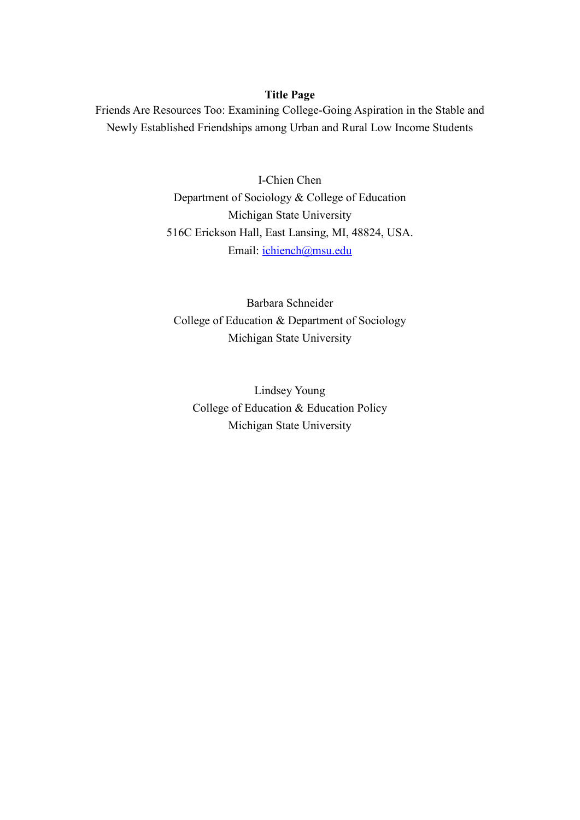# **Title Page**

Friends Are Resources Too: Examining College-Going Aspiration in the Stable and Newly Established Friendships among Urban and Rural Low Income Students

> I-Chien Chen Department of Sociology & College of Education Michigan State University 516C Erickson Hall, East Lansing, MI, 48824, USA. Email: [ichiench@msu.edu](mailto:ichiench@msu.edu)

Barbara Schneider College of Education & Department of Sociology Michigan State University

Lindsey Young College of Education & Education Policy Michigan State University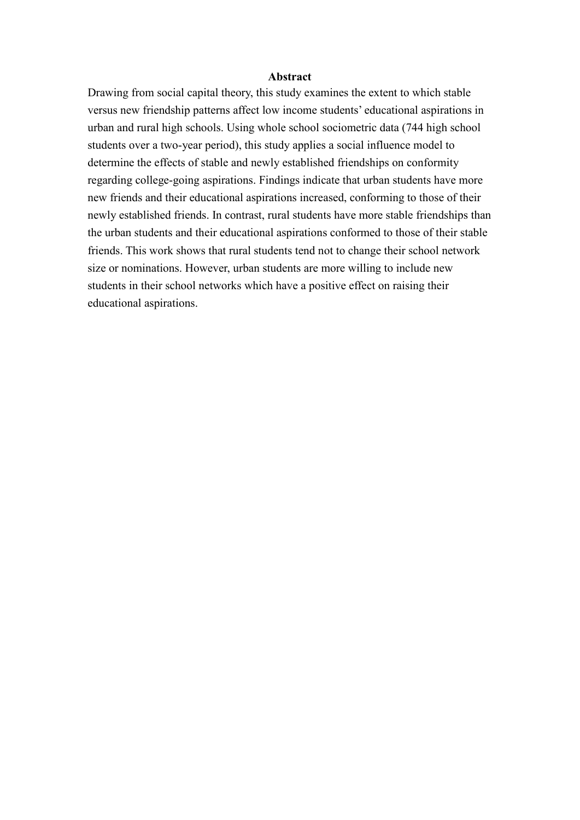#### **Abstract**

Drawing from social capital theory, this study examines the extent to which stable versus new friendship patterns affect low income students' educational aspirations in urban and rural high schools. Using whole school sociometric data (744 high school students over a two-year period), this study applies a social influence model to determine the effects of stable and newly established friendships on conformity regarding college-going aspirations. Findings indicate that urban students have more new friends and their educational aspirations increased, conforming to those of their newly established friends. In contrast, rural students have more stable friendships than the urban students and their educational aspirations conformed to those of their stable friends. This work shows that rural students tend not to change their school network size or nominations. However, urban students are more willing to include new students in their school networks which have a positive effect on raising their educational aspirations.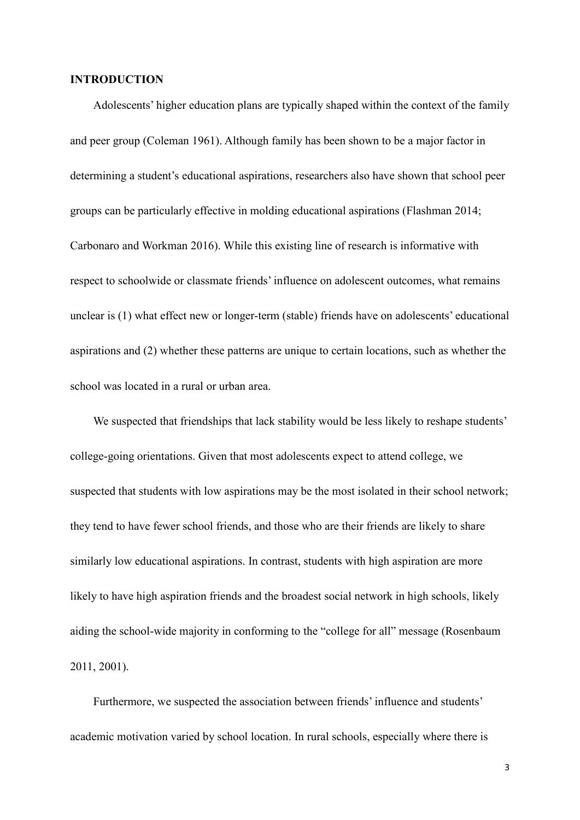#### **INTRODUCTION**

Adolescents' higher education plans are typically shaped within the context of the family and peer group (Coleman 1961). Although family has been shown to be a major factor in determining a student's educational aspirations, researchers also have shown that school peer groups can be particularly effective in molding educational aspirations (Flashman 2014; Carbonaro and Workman 2016). While this existing line of research is informative with respect to schoolwide or classmate friends' influence on adolescent outcomes, what remains unclear is (1) what effect new or longer-term (stable) friends have on adolescents' educational aspirations and (2) whether these patterns are unique to certain locations, such as whether the school was located in a rural or urban area.

We suspected that friendships that lack stability would be less likely to reshape students' college-going orientations. Given that most adolescents expect to attend college, we suspected that students with low aspirations may be the most isolated in their school network; they tend to have fewer school friends, and those who are their friends are likely to share similarly low educational aspirations. In contrast, students with high aspiration are more likely to have high aspiration friends and the broadest social network in high schools, likely aiding the school-wide majority in conforming to the "college for all" message (Rosenbaum 2011, 2001).

Furthermore, we suspected the association between friends' influence and students' academic motivation varied by school location. In rural schools, especially where there is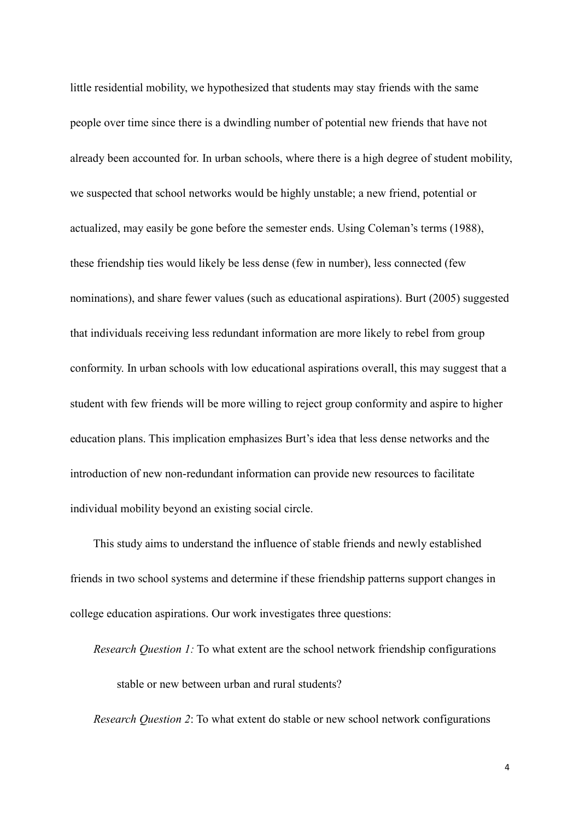little residential mobility, we hypothesized that students may stay friends with the same people over time since there is a dwindling number of potential new friends that have not already been accounted for. In urban schools, where there is a high degree of student mobility, we suspected that school networks would be highly unstable; a new friend, potential or actualized, may easily be gone before the semester ends. Using Coleman's terms (1988), these friendship ties would likely be less dense (few in number), less connected (few nominations), and share fewer values (such as educational aspirations). Burt (2005) suggested that individuals receiving less redundant information are more likely to rebel from group conformity. In urban schools with low educational aspirations overall, this may suggest that a student with few friends will be more willing to reject group conformity and aspire to higher education plans. This implication emphasizes Burt's idea that less dense networks and the introduction of new non-redundant information can provide new resources to facilitate individual mobility beyond an existing social circle.

This study aims to understand the influence of stable friends and newly established friends in two school systems and determine if these friendship patterns support changes in college education aspirations. Our work investigates three questions:

*Research Question 1:* To what extent are the school network friendship configurations stable or new between urban and rural students?

*Research Question 2*: To what extent do stable or new school network configurations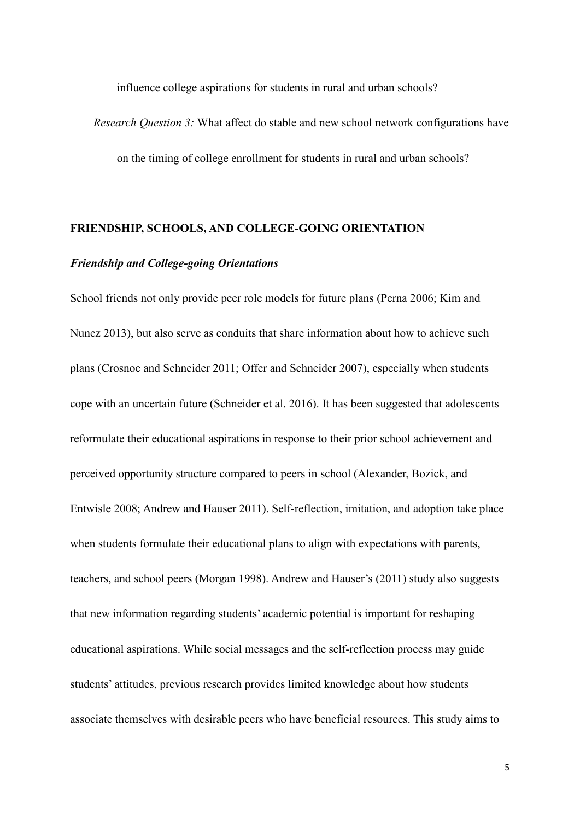influence college aspirations for students in rural and urban schools?

*Research Question 3:* What affect do stable and new school network configurations have on the timing of college enrollment for students in rural and urban schools?

#### **FRIENDSHIP, SCHOOLS, AND COLLEGE-GOING ORIENTATION**

# *Friendship and College-going Orientations*

School friends not only provide peer role models for future plans (Perna 2006; Kim and Nunez 2013), but also serve as conduits that share information about how to achieve such plans (Crosnoe and Schneider 2011; Offer and Schneider 2007), especially when students cope with an uncertain future (Schneider et al. 2016). It has been suggested that adolescents reformulate their educational aspirations in response to their prior school achievement and perceived opportunity structure compared to peers in school (Alexander, Bozick, and Entwisle 2008; Andrew and Hauser 2011). Self-reflection, imitation, and adoption take place when students formulate their educational plans to align with expectations with parents, teachers, and school peers (Morgan 1998). Andrew and Hauser's (2011) study also suggests that new information regarding students' academic potential is important for reshaping educational aspirations. While social messages and the self-reflection process may guide students' attitudes, previous research provides limited knowledge about how students associate themselves with desirable peers who have beneficial resources. This study aims to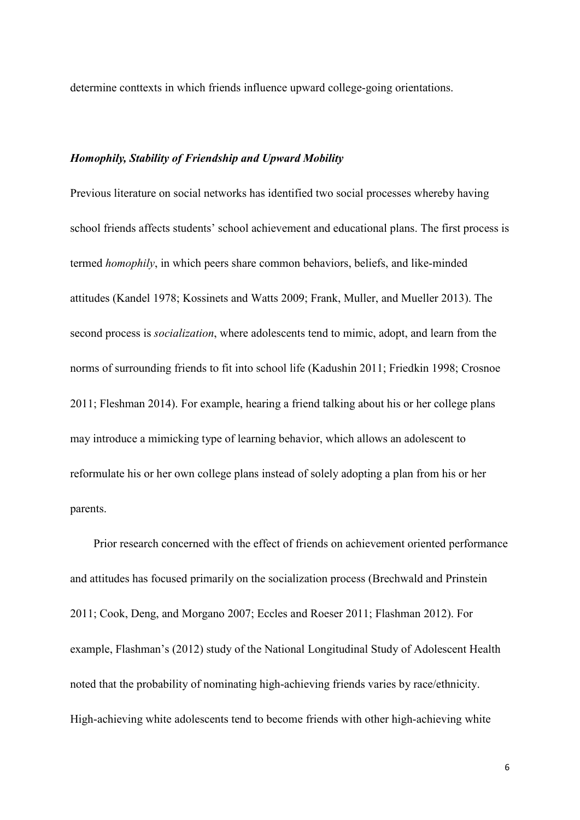determine conttexts in which friends influence upward college-going orientations.

# *Homophily, Stability of Friendship and Upward Mobility*

Previous literature on social networks has identified two social processes whereby having school friends affects students' school achievement and educational plans. The first process is termed *homophily*, in which peers share common behaviors, beliefs, and like-minded attitudes (Kandel 1978; Kossinets and Watts 2009; Frank, Muller, and Mueller 2013). The second process is *socialization*, where adolescents tend to mimic, adopt, and learn from the norms of surrounding friends to fit into school life (Kadushin 2011; Friedkin 1998; Crosnoe 2011; Fleshman 2014). For example, hearing a friend talking about his or her college plans may introduce a mimicking type of learning behavior, which allows an adolescent to reformulate his or her own college plans instead of solely adopting a plan from his or her parents.

Prior research concerned with the effect of friends on achievement oriented performance and attitudes has focused primarily on the socialization process (Brechwald and Prinstein 2011; Cook, Deng, and Morgano 2007; Eccles and Roeser 2011; Flashman 2012). For example, Flashman's (2012) study of the National Longitudinal Study of Adolescent Health noted that the probability of nominating high-achieving friends varies by race/ethnicity. High-achieving white adolescents tend to become friends with other high-achieving white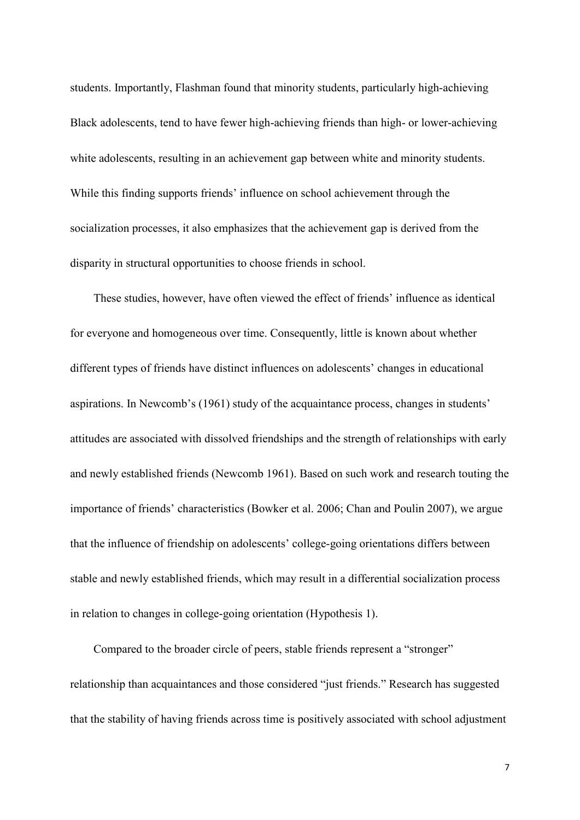students. Importantly, Flashman found that minority students, particularly high-achieving Black adolescents, tend to have fewer high-achieving friends than high- or lower-achieving white adolescents, resulting in an achievement gap between white and minority students. While this finding supports friends' influence on school achievement through the socialization processes, it also emphasizes that the achievement gap is derived from the disparity in structural opportunities to choose friends in school.

These studies, however, have often viewed the effect of friends' influence as identical for everyone and homogeneous over time. Consequently, little is known about whether different types of friends have distinct influences on adolescents' changes in educational aspirations. In Newcomb's (1961) study of the acquaintance process, changes in students' attitudes are associated with dissolved friendships and the strength of relationships with early and newly established friends (Newcomb 1961). Based on such work and research touting the importance of friends' characteristics (Bowker et al. 2006; Chan and Poulin 2007), we argue that the influence of friendship on adolescents' college-going orientations differs between stable and newly established friends, which may result in a differential socialization process in relation to changes in college-going orientation (Hypothesis 1).

Compared to the broader circle of peers, stable friends represent a "stronger" relationship than acquaintances and those considered "just friends." Research has suggested that the stability of having friends across time is positively associated with school adjustment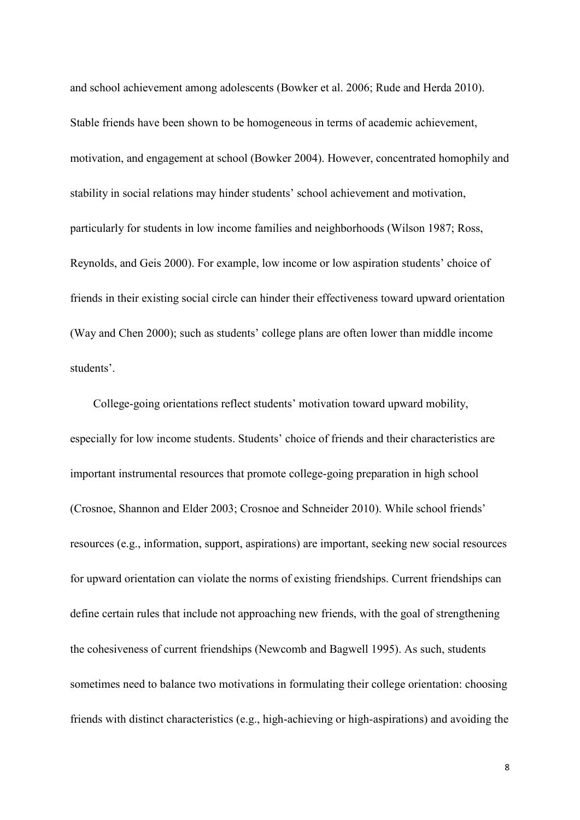and school achievement among adolescents (Bowker et al. 2006; Rude and Herda 2010). Stable friends have been shown to be homogeneous in terms of academic achievement, motivation, and engagement at school (Bowker 2004). However, concentrated homophily and stability in social relations may hinder students' school achievement and motivation, particularly for students in low income families and neighborhoods (Wilson 1987; Ross, Reynolds, and Geis 2000). For example, low income or low aspiration students' choice of friends in their existing social circle can hinder their effectiveness toward upward orientation (Way and Chen 2000); such as students' college plans are often lower than middle income students'.

College-going orientations reflect students' motivation toward upward mobility, especially for low income students. Students' choice of friends and their characteristics are important instrumental resources that promote college-going preparation in high school (Crosnoe, Shannon and Elder 2003; Crosnoe and Schneider 2010). While school friends' resources (e.g., information, support, aspirations) are important, seeking new social resources for upward orientation can violate the norms of existing friendships. Current friendships can define certain rules that include not approaching new friends, with the goal of strengthening the cohesiveness of current friendships (Newcomb and Bagwell 1995). As such, students sometimes need to balance two motivations in formulating their college orientation: choosing friends with distinct characteristics (e.g., high-achieving or high-aspirations) and avoiding the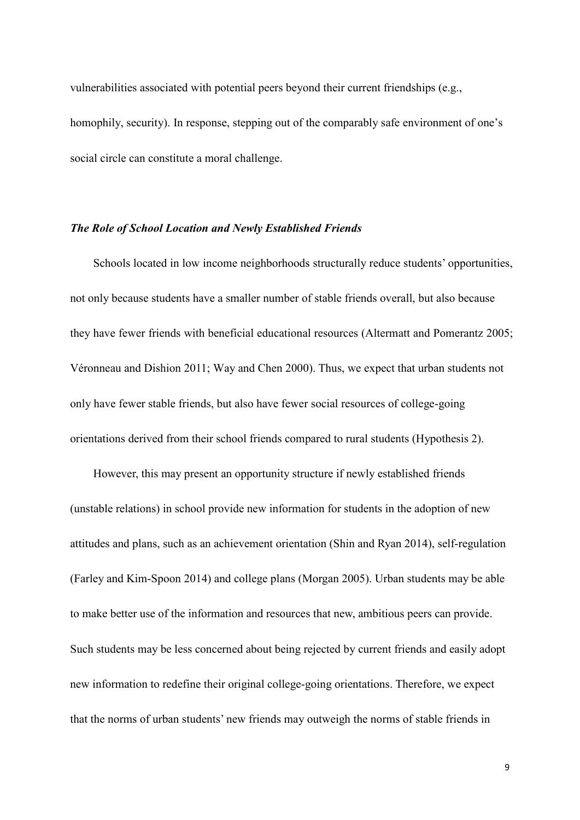vulnerabilities associated with potential peers beyond their current friendships (e.g., homophily, security). In response, stepping out of the comparably safe environment of one's social circle can constitute a moral challenge.

#### *The Role of School Location and Newly Established Friends*

Schools located in low income neighborhoods structurally reduce students' opportunities, not only because students have a smaller number of stable friends overall, but also because they have fewer friends with beneficial educational resources (Altermatt and Pomerantz 2005; Véronneau and Dishion 2011; Way and Chen 2000). Thus, we expect that urban students not only have fewer stable friends, but also have fewer social resources of college-going orientations derived from their school friends compared to rural students (Hypothesis 2).

However, this may present an opportunity structure if newly established friends (unstable relations) in school provide new information for students in the adoption of new attitudes and plans, such as an achievement orientation (Shin and Ryan 2014), self-regulation (Farley and Kim-Spoon 2014) and college plans (Morgan 2005). Urban students may be able to make better use of the information and resources that new, ambitious peers can provide. Such students may be less concerned about being rejected by current friends and easily adopt new information to redefine their original college-going orientations. Therefore, we expect that the norms of urban students' new friends may outweigh the norms of stable friends in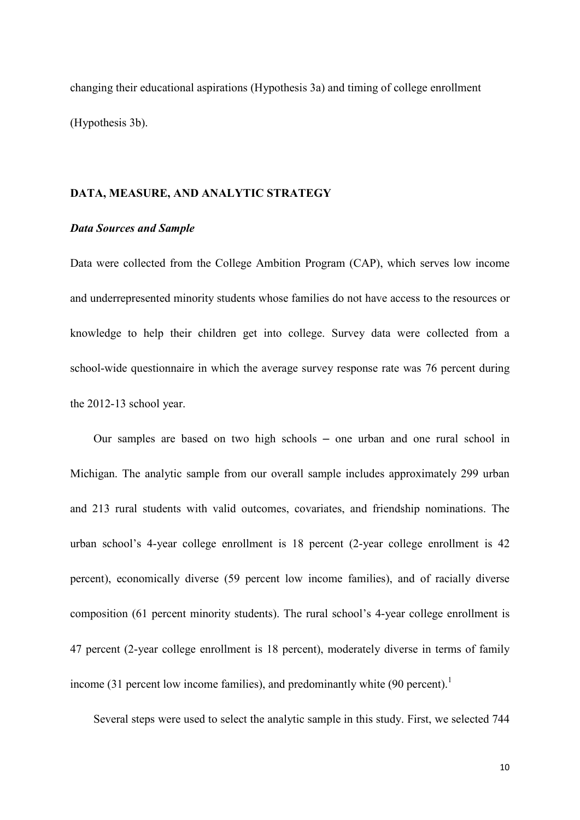changing their educational aspirations (Hypothesis 3a) and timing of college enrollment (Hypothesis 3b).

# **DATA, MEASURE, AND ANALYTIC STRATEGY**

## *Data Sources and Sample*

Data were collected from the College Ambition Program (CAP), which serves low income and underrepresented minority students whose families do not have access to the resources or knowledge to help their children get into college. Survey data were collected from a school-wide questionnaire in which the average survey response rate was 76 percent during the 2012-13 school year.

Our samples are based on two high schools – one urban and one rural school in Michigan. The analytic sample from our overall sample includes approximately 299 urban and 213 rural students with valid outcomes, covariates, and friendship nominations. The urban school's 4-year college enrollment is 18 percent (2-year college enrollment is 42 percent), economically diverse (59 percent low income families), and of racially diverse composition (61 percent minority students). The rural school's 4-year college enrollment is 47 percent (2-year college enrollment is 18 percent), moderately diverse in terms of family income (31 percent low income families), and predominantly white  $(90 \text{ percent})$ .<sup>1</sup>

Several steps were used to select the analytic sample in this study. First, we selected 744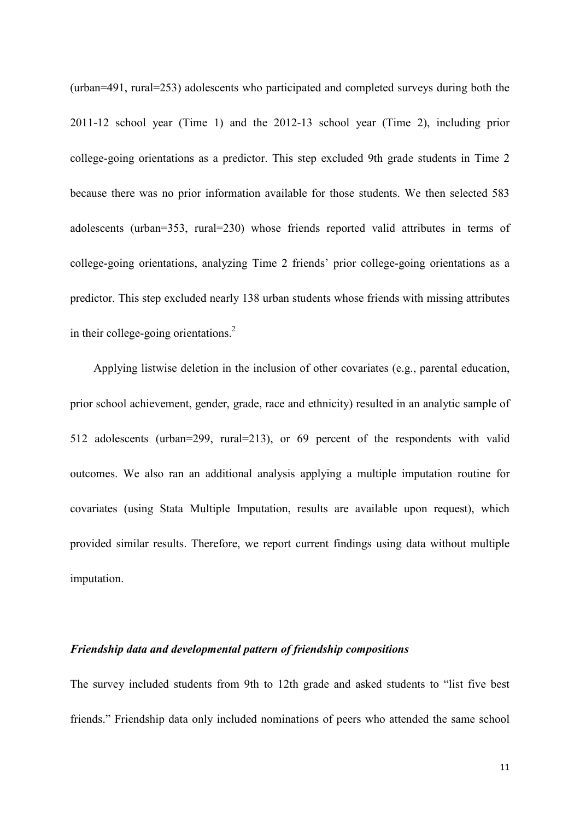(urban=491, rural=253) adolescents who participated and completed surveys during both the 2011-12 school year (Time 1) and the 2012-13 school year (Time 2), including prior college-going orientations as a predictor. This step excluded 9th grade students in Time 2 because there was no prior information available for those students. We then selected 583 adolescents (urban=353, rural=230) whose friends reported valid attributes in terms of college-going orientations, analyzing Time 2 friends' prior college-going orientations as a predictor. This step excluded nearly 138 urban students whose friends with missing attributes in their college-going orientations.<sup>2</sup>

Applying listwise deletion in the inclusion of other covariates (e.g., parental education, prior school achievement, gender, grade, race and ethnicity) resulted in an analytic sample of 512 adolescents (urban=299, rural=213), or 69 percent of the respondents with valid outcomes. We also ran an additional analysis applying a multiple imputation routine for covariates (using Stata Multiple Imputation, results are available upon request), which provided similar results. Therefore, we report current findings using data without multiple imputation.

#### *Friendship data and developmental pattern of friendship compositions*

The survey included students from 9th to 12th grade and asked students to "list five best friends." Friendship data only included nominations of peers who attended the same school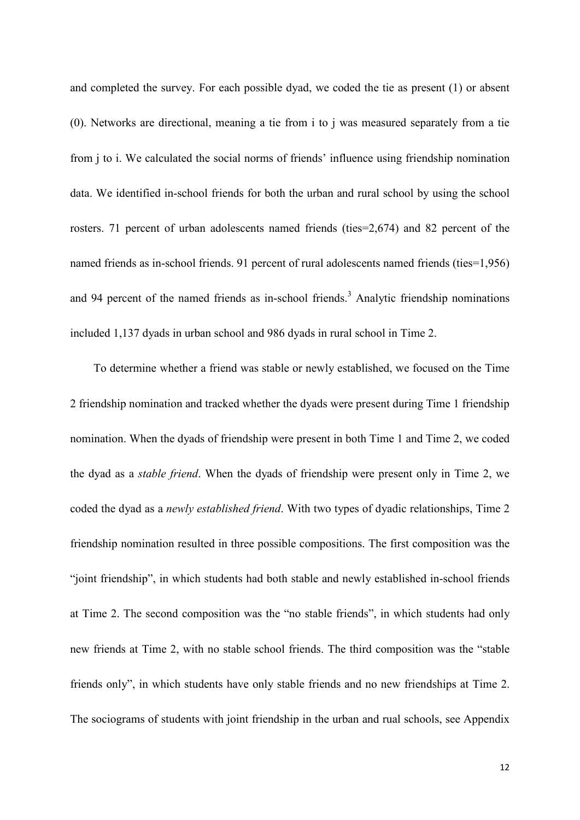and completed the survey. For each possible dyad, we coded the tie as present (1) or absent (0). Networks are directional, meaning a tie from i to j was measured separately from a tie from j to i. We calculated the social norms of friends' influence using friendship nomination data. We identified in-school friends for both the urban and rural school by using the school rosters. 71 percent of urban adolescents named friends (ties=2,674) and 82 percent of the named friends as in-school friends. 91 percent of rural adolescents named friends (ties=1,956) and 94 percent of the named friends as in-school friends.<sup>3</sup> Analytic friendship nominations included 1,137 dyads in urban school and 986 dyads in rural school in Time 2.

To determine whether a friend was stable or newly established, we focused on the Time 2 friendship nomination and tracked whether the dyads were present during Time 1 friendship nomination. When the dyads of friendship were present in both Time 1 and Time 2, we coded the dyad as a *stable friend*. When the dyads of friendship were present only in Time 2, we coded the dyad as a *newly established friend*. With two types of dyadic relationships, Time 2 friendship nomination resulted in three possible compositions. The first composition was the "joint friendship", in which students had both stable and newly established in-school friends at Time 2. The second composition was the "no stable friends", in which students had only new friends at Time 2, with no stable school friends. The third composition was the "stable friends only", in which students have only stable friends and no new friendships at Time 2. The sociograms of students with joint friendship in the urban and rual schools, see Appendix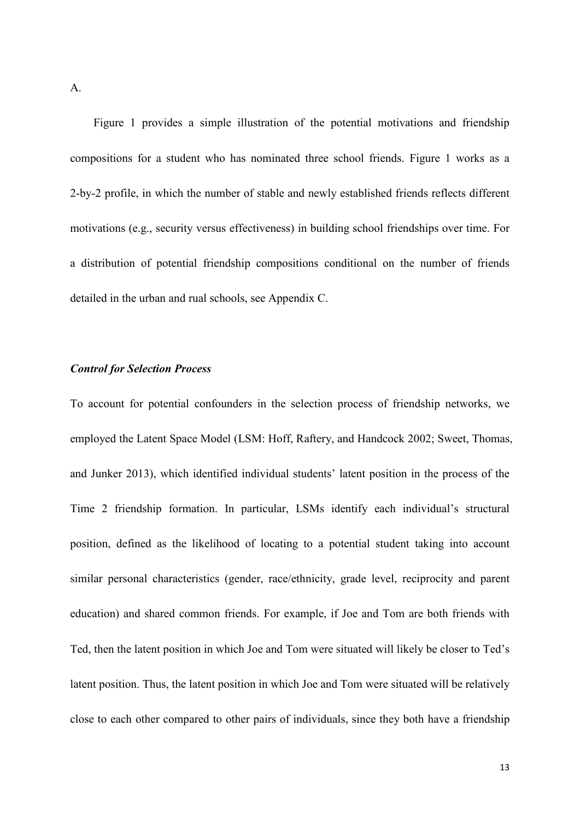A.

Figure 1 provides a simple illustration of the potential motivations and friendship compositions for a student who has nominated three school friends. Figure 1 works as a 2-by-2 profile, in which the number of stable and newly established friends reflects different motivations (e.g., security versus effectiveness) in building school friendships over time. For a distribution of potential friendship compositions conditional on the number of friends detailed in the urban and rual schools, see Appendix C.

# *Control for Selection Process*

To account for potential confounders in the selection process of friendship networks, we employed the Latent Space Model (LSM: Hoff, Raftery, and Handcock 2002; Sweet, Thomas, and Junker 2013), which identified individual students' latent position in the process of the Time 2 friendship formation. In particular, LSMs identify each individual's structural position, defined as the likelihood of locating to a potential student taking into account similar personal characteristics (gender, race/ethnicity, grade level, reciprocity and parent education) and shared common friends. For example, if Joe and Tom are both friends with Ted, then the latent position in which Joe and Tom were situated will likely be closer to Ted's latent position. Thus, the latent position in which Joe and Tom were situated will be relatively close to each other compared to other pairs of individuals, since they both have a friendship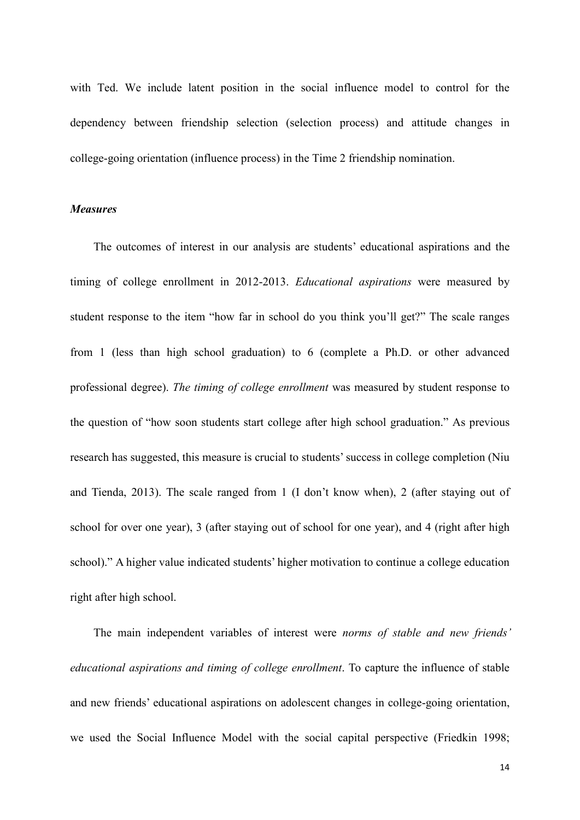with Ted. We include latent position in the social influence model to control for the dependency between friendship selection (selection process) and attitude changes in college-going orientation (influence process) in the Time 2 friendship nomination.

# *Measures*

The outcomes of interest in our analysis are students' educational aspirations and the timing of college enrollment in 2012-2013. *Educational aspirations* were measured by student response to the item "how far in school do you think you'll get?" The scale ranges from 1 (less than high school graduation) to 6 (complete a Ph.D. or other advanced professional degree). *The timing of college enrollment* was measured by student response to the question of "how soon students start college after high school graduation." As previous research has suggested, this measure is crucial to students' success in college completion (Niu and Tienda, 2013). The scale ranged from 1 (I don't know when), 2 (after staying out of school for over one year), 3 (after staying out of school for one year), and 4 (right after high school)." A higher value indicated students' higher motivation to continue a college education right after high school.

The main independent variables of interest were *norms of stable and new friends' educational aspirations and timing of college enrollment*. To capture the influence of stable and new friends' educational aspirations on adolescent changes in college-going orientation, we used the Social Influence Model with the social capital perspective (Friedkin 1998;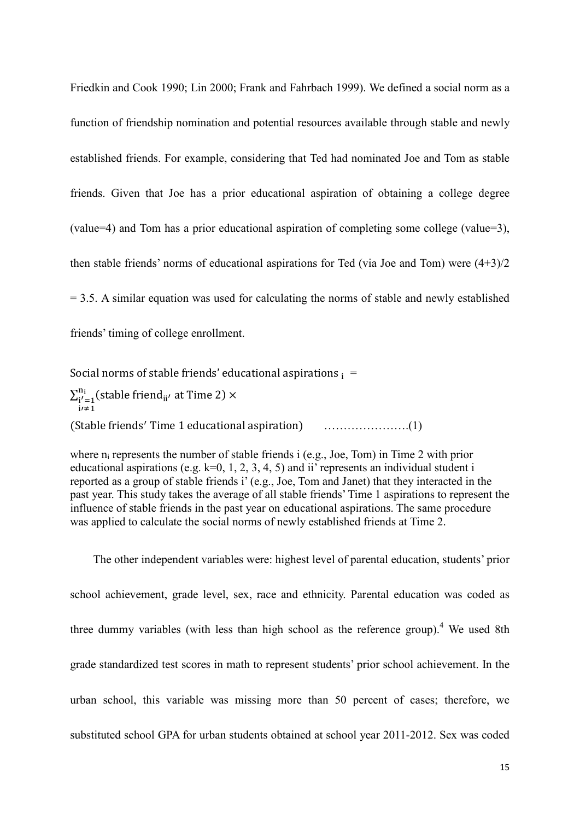Friedkin and Cook 1990; Lin 2000; Frank and Fahrbach 1999). We defined a social norm as a function of friendship nomination and potential resources available through stable and newly established friends. For example, considering that Ted had nominated Joe and Tom as stable friends. Given that Joe has a prior educational aspiration of obtaining a college degree (value=4) and Tom has a prior educational aspiration of completing some college (value=3), then stable friends' norms of educational aspirations for Ted (via Joe and Tom) were (4+3)/2  $= 3.5$ . A similar equation was used for calculating the norms of stable and newly established friends' timing of college enrollment.

Social norms of stable friends' educational aspirations  $_i =$  $\sum_{\text{i}'=1}^{\text{n}_\text{i}}(\text{stable friend}_{\text{ii}'} \text{ at Time 2}) \times$ i′≠1 (Stable friends′ Time 1 educational aspiration) ………………….(1)

where  $n_i$  represents the number of stable friends i (e.g., Joe, Tom) in Time 2 with prior educational aspirations (e.g.  $k=0, 1, 2, 3, 4, 5$ ) and ii' represents an individual student i reported as a group of stable friends i' (e.g., Joe, Tom and Janet) that they interacted in the past year. This study takes the average of all stable friends' Time 1 aspirations to represent the influence of stable friends in the past year on educational aspirations. The same procedure was applied to calculate the social norms of newly established friends at Time 2.

The other independent variables were: highest level of parental education, students' prior school achievement, grade level, sex, race and ethnicity. Parental education was coded as three dummy variables (with less than high school as the reference group).<sup>4</sup> We used 8th grade standardized test scores in math to represent students' prior school achievement. In the urban school, this variable was missing more than 50 percent of cases; therefore, we substituted school GPA for urban students obtained at school year 2011-2012. Sex was coded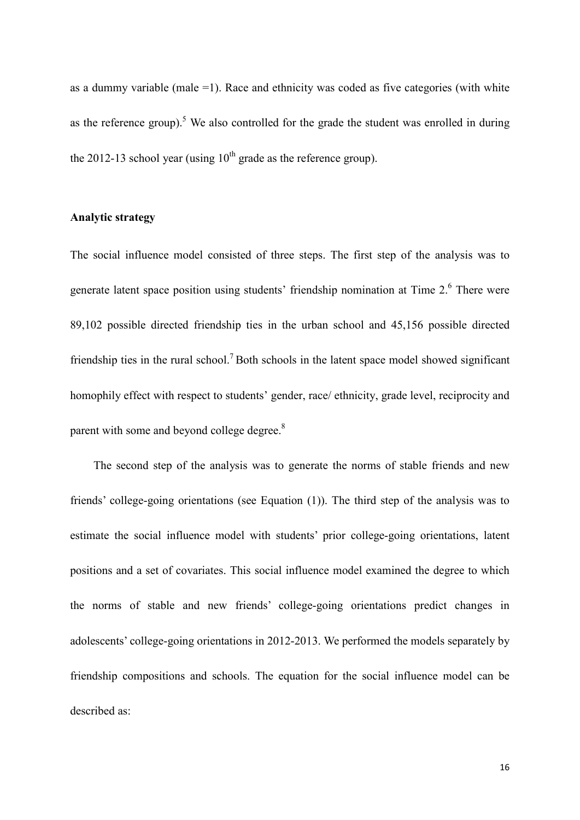as a dummy variable (male  $=1$ ). Race and ethnicity was coded as five categories (with white as the reference group).<sup>5</sup> We also controlled for the grade the student was enrolled in during the 2012-13 school year (using  $10^{th}$  grade as the reference group).

## **Analytic strategy**

The social influence model consisted of three steps. The first step of the analysis was to generate latent space position using students' friendship nomination at Time 2.<sup>6</sup> There were 89,102 possible directed friendship ties in the urban school and 45,156 possible directed friendship ties in the rural school.<sup>7</sup> Both schools in the latent space model showed significant homophily effect with respect to students' gender, race/ ethnicity, grade level, reciprocity and parent with some and beyond college degree.<sup>8</sup>

The second step of the analysis was to generate the norms of stable friends and new friends' college-going orientations (see Equation (1)). The third step of the analysis was to estimate the social influence model with students' prior college-going orientations, latent positions and a set of covariates. This social influence model examined the degree to which the norms of stable and new friends' college-going orientations predict changes in adolescents' college-going orientations in 2012-2013. We performed the models separately by friendship compositions and schools. The equation for the social influence model can be described as: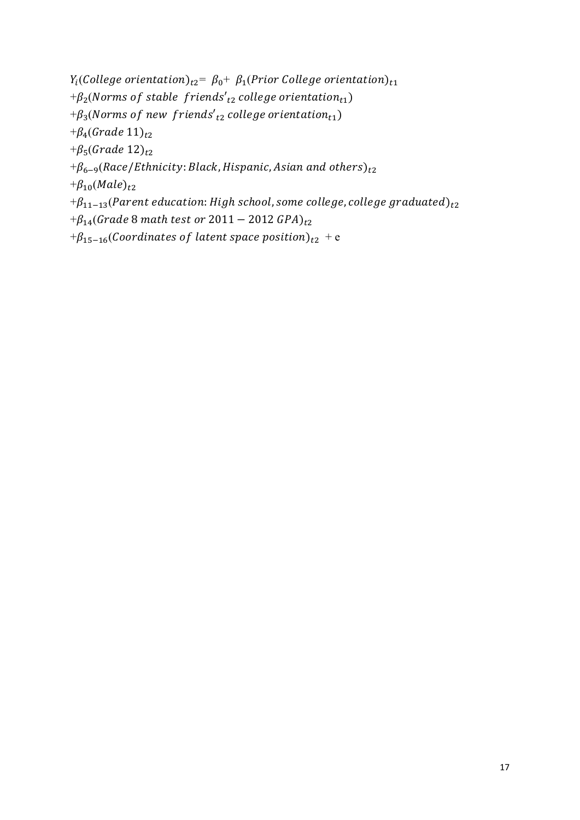$Y_i$ (College orientation)<sub>t2</sub>=  $\beta_0$ +  $\beta_1$ (Prior College orientation)<sub>t1</sub>  $+\beta_2(Norms$  of stable friends'<sub>t2</sub> college orientation<sub>t1</sub>)  $+\beta_3(Norms$  of new friends'<sub>t2</sub> college orientation<sub>t1</sub>) + $\beta_4$ (Grade 11)<sub>t2</sub> + $\beta_5$ (Grade 12)<sub>t2</sub>  $+\beta_{6-9}($ Race/Ethnicity: Black, Hispanic, Asian and others)<sub>t2</sub>  $+\beta_{10}(Male)_{t2}$  $+\beta_{11-13}$ (Parent education: High school, some college, college graduated)<sub>t2</sub>  $+\beta_{14}($ Grade 8 math test or 2011 – 2012 GPA $)_{t2}$ 

 $+\beta_{15-16}$ (Coordinates of latent space position)<sub>t2</sub> + e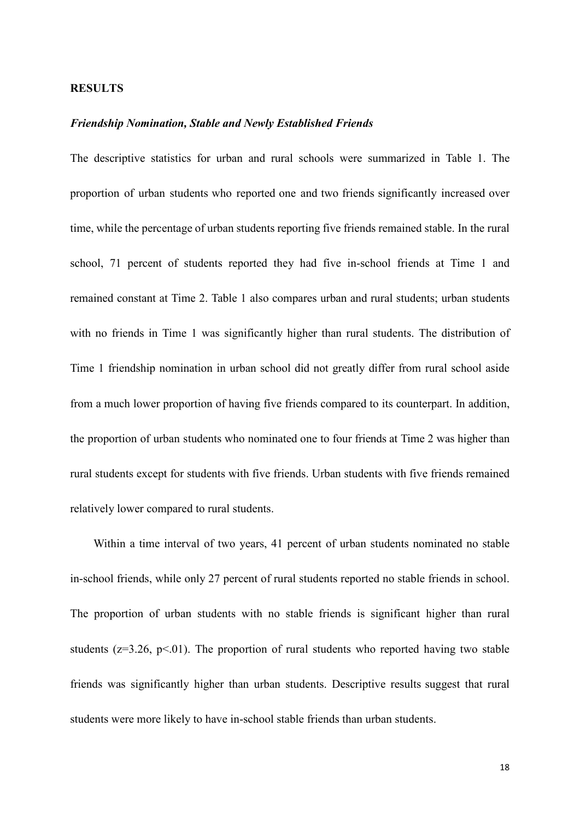#### **RESULTS**

#### *Friendship Nomination, Stable and Newly Established Friends*

The descriptive statistics for urban and rural schools were summarized in Table 1. The proportion of urban students who reported one and two friends significantly increased over time, while the percentage of urban students reporting five friends remained stable. In the rural school, 71 percent of students reported they had five in-school friends at Time 1 and remained constant at Time 2. Table 1 also compares urban and rural students; urban students with no friends in Time 1 was significantly higher than rural students. The distribution of Time 1 friendship nomination in urban school did not greatly differ from rural school aside from a much lower proportion of having five friends compared to its counterpart. In addition, the proportion of urban students who nominated one to four friends at Time 2 was higher than rural students except for students with five friends. Urban students with five friends remained relatively lower compared to rural students.

Within a time interval of two years, 41 percent of urban students nominated no stable in-school friends, while only 27 percent of rural students reported no stable friends in school. The proportion of urban students with no stable friends is significant higher than rural students ( $z=3.26$ ,  $p<01$ ). The proportion of rural students who reported having two stable friends was significantly higher than urban students. Descriptive results suggest that rural students were more likely to have in-school stable friends than urban students.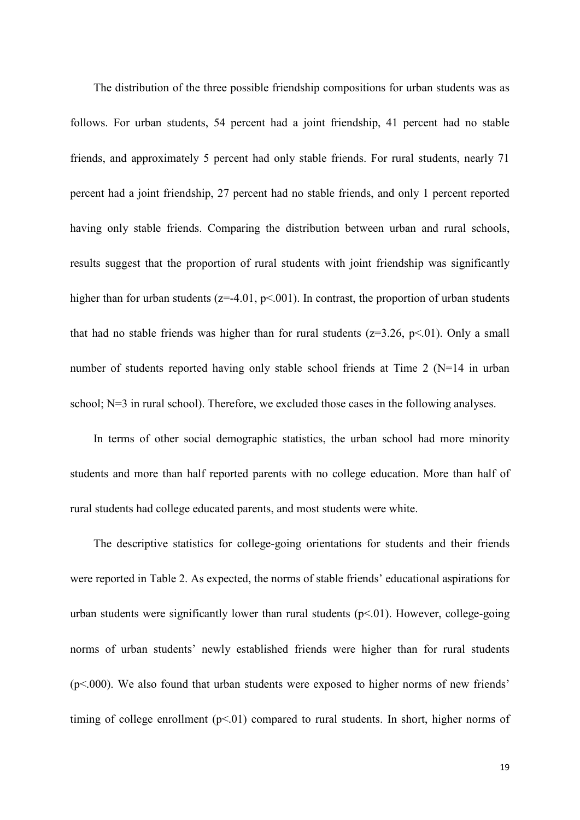The distribution of the three possible friendship compositions for urban students was as follows. For urban students, 54 percent had a joint friendship, 41 percent had no stable friends, and approximately 5 percent had only stable friends. For rural students, nearly 71 percent had a joint friendship, 27 percent had no stable friends, and only 1 percent reported having only stable friends. Comparing the distribution between urban and rural schools, results suggest that the proportion of rural students with joint friendship was significantly higher than for urban students ( $z=4.01$ ,  $p<0.01$ ). In contrast, the proportion of urban students that had no stable friends was higher than for rural students  $(z=3.26, p<.01)$ . Only a small number of students reported having only stable school friends at Time 2 (N=14 in urban school; N=3 in rural school). Therefore, we excluded those cases in the following analyses.

In terms of other social demographic statistics, the urban school had more minority students and more than half reported parents with no college education. More than half of rural students had college educated parents, and most students were white.

The descriptive statistics for college-going orientations for students and their friends were reported in Table 2. As expected, the norms of stable friends' educational aspirations for urban students were significantly lower than rural students  $(p<0.01)$ . However, college-going norms of urban students' newly established friends were higher than for rural students (p<.000). We also found that urban students were exposed to higher norms of new friends' timing of college enrollment  $(p<01)$  compared to rural students. In short, higher norms of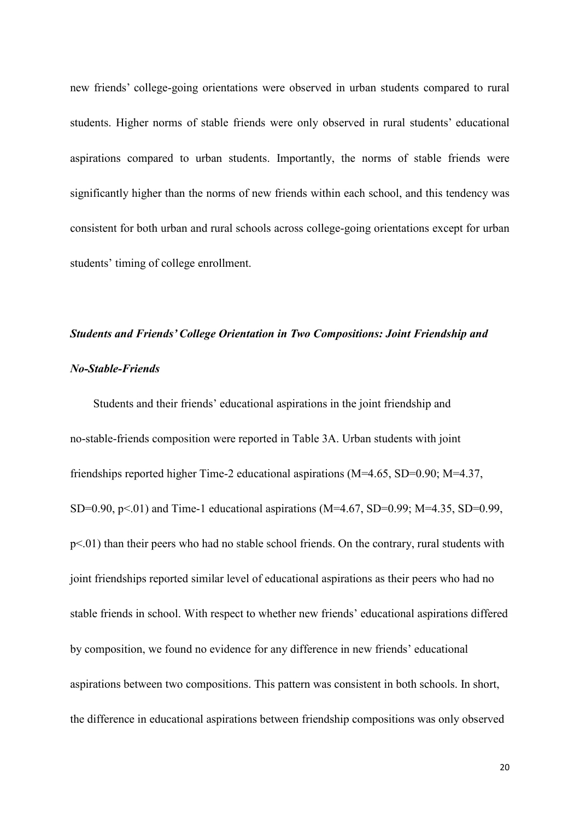new friends' college-going orientations were observed in urban students compared to rural students. Higher norms of stable friends were only observed in rural students' educational aspirations compared to urban students. Importantly, the norms of stable friends were significantly higher than the norms of new friends within each school, and this tendency was consistent for both urban and rural schools across college-going orientations except for urban students' timing of college enrollment.

# *Students and Friends' College Orientation in Two Compositions: Joint Friendship and No-Stable-Friends*

Students and their friends' educational aspirations in the joint friendship and no-stable-friends composition were reported in Table 3A. Urban students with joint friendships reported higher Time-2 educational aspirations (M=4.65, SD=0.90; M=4.37, SD=0.90,  $p<01$ ) and Time-1 educational aspirations (M=4.67, SD=0.99; M=4.35, SD=0.99, p<.01) than their peers who had no stable school friends. On the contrary, rural students with joint friendships reported similar level of educational aspirations as their peers who had no stable friends in school. With respect to whether new friends' educational aspirations differed by composition, we found no evidence for any difference in new friends' educational aspirations between two compositions. This pattern was consistent in both schools. In short, the difference in educational aspirations between friendship compositions was only observed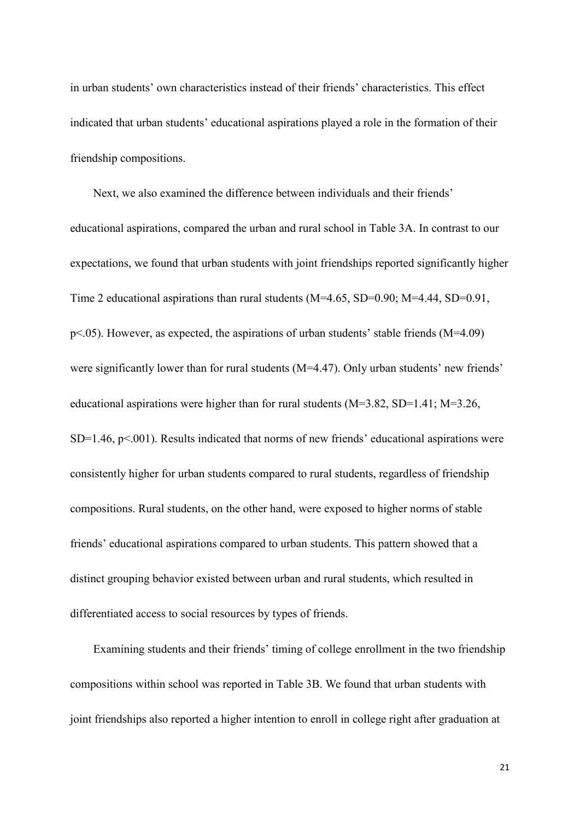in urban students' own characteristics instead of their friends' characteristics. This effect indicated that urban students' educational aspirations played a role in the formation of their friendship compositions.

Next, we also examined the difference between individuals and their friends' educational aspirations, compared the urban and rural school in Table 3A. In contrast to our expectations, we found that urban students with joint friendships reported significantly higher Time 2 educational aspirations than rural students (M=4.65, SD=0.90; M=4.44, SD=0.91, p<.05). However, as expected, the aspirations of urban students' stable friends (M=4.09) were significantly lower than for rural students (M=4.47). Only urban students' new friends' educational aspirations were higher than for rural students (M=3.82, SD=1.41; M=3.26,  $SD=1.46$ ,  $p<.001$ ). Results indicated that norms of new friends' educational aspirations were consistently higher for urban students compared to rural students, regardless of friendship compositions. Rural students, on the other hand, were exposed to higher norms of stable friends' educational aspirations compared to urban students. This pattern showed that a distinct grouping behavior existed between urban and rural students, which resulted in differentiated access to social resources by types of friends.

Examining students and their friends' timing of college enrollment in the two friendship compositions within school was reported in Table 3B. We found that urban students with joint friendships also reported a higher intention to enroll in college right after graduation at

21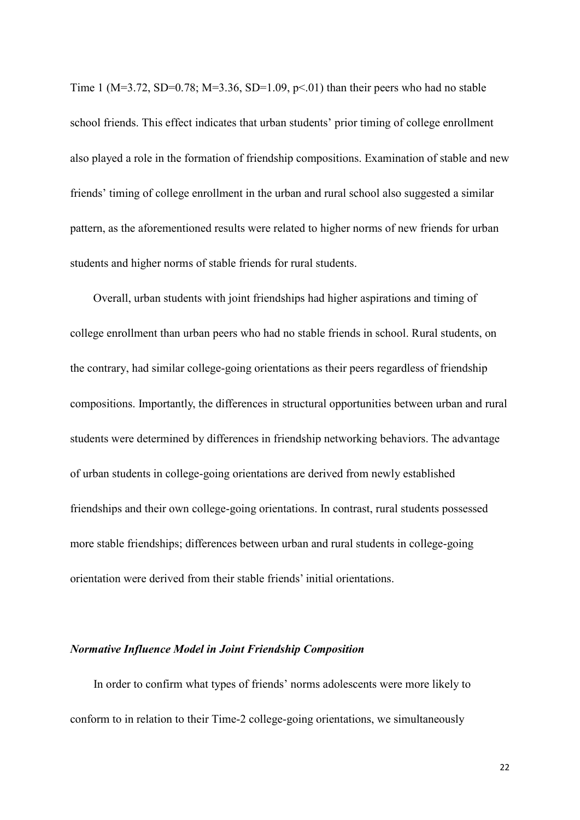Time 1 (M=3.72, SD=0.78; M=3.36, SD=1.09, p < 0.01) than their peers who had no stable school friends. This effect indicates that urban students' prior timing of college enrollment also played a role in the formation of friendship compositions. Examination of stable and new friends' timing of college enrollment in the urban and rural school also suggested a similar pattern, as the aforementioned results were related to higher norms of new friends for urban students and higher norms of stable friends for rural students.

Overall, urban students with joint friendships had higher aspirations and timing of college enrollment than urban peers who had no stable friends in school. Rural students, on the contrary, had similar college-going orientations as their peers regardless of friendship compositions. Importantly, the differences in structural opportunities between urban and rural students were determined by differences in friendship networking behaviors. The advantage of urban students in college-going orientations are derived from newly established friendships and their own college-going orientations. In contrast, rural students possessed more stable friendships; differences between urban and rural students in college-going orientation were derived from their stable friends' initial orientations.

#### *Normative Influence Model in Joint Friendship Composition*

In order to confirm what types of friends' norms adolescents were more likely to conform to in relation to their Time-2 college-going orientations, we simultaneously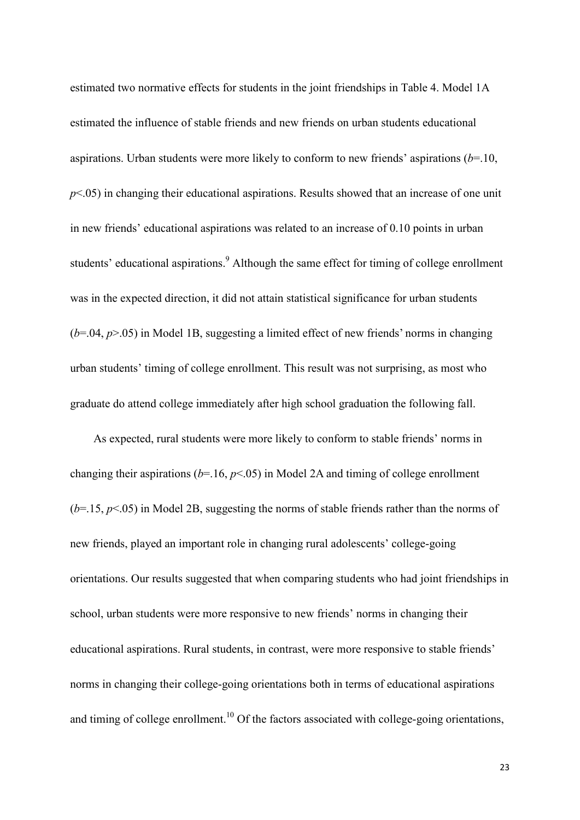estimated two normative effects for students in the joint friendships in Table 4. Model 1A estimated the influence of stable friends and new friends on urban students educational aspirations. Urban students were more likely to conform to new friends' aspirations (*b*=.10, *p*<.05) in changing their educational aspirations. Results showed that an increase of one unit in new friends' educational aspirations was related to an increase of 0.10 points in urban students' educational aspirations.<sup>9</sup> Although the same effect for timing of college enrollment was in the expected direction, it did not attain statistical significance for urban students  $(b=0.04, p>0.05)$  in Model 1B, suggesting a limited effect of new friends' norms in changing urban students' timing of college enrollment. This result was not surprising, as most who graduate do attend college immediately after high school graduation the following fall.

As expected, rural students were more likely to conform to stable friends' norms in changing their aspirations (*b*=.16, *p*<.05) in Model 2A and timing of college enrollment (*b*=.15, *p*<.05) in Model 2B, suggesting the norms of stable friends rather than the norms of new friends, played an important role in changing rural adolescents' college-going orientations. Our results suggested that when comparing students who had joint friendships in school, urban students were more responsive to new friends' norms in changing their educational aspirations. Rural students, in contrast, were more responsive to stable friends' norms in changing their college-going orientations both in terms of educational aspirations and timing of college enrollment.<sup>10</sup> Of the factors associated with college-going orientations,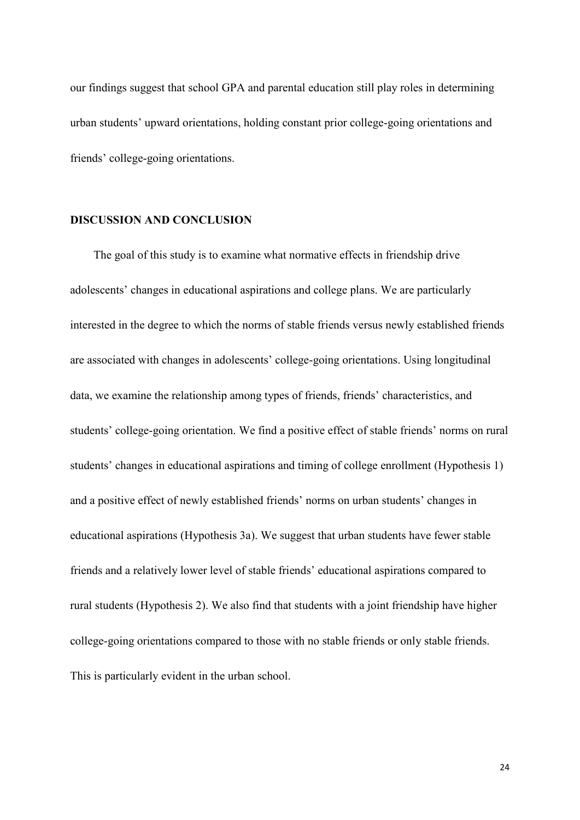our findings suggest that school GPA and parental education still play roles in determining urban students' upward orientations, holding constant prior college-going orientations and friends' college-going orientations.

## **DISCUSSION AND CONCLUSION**

The goal of this study is to examine what normative effects in friendship drive adolescents' changes in educational aspirations and college plans. We are particularly interested in the degree to which the norms of stable friends versus newly established friends are associated with changes in adolescents' college-going orientations. Using longitudinal data, we examine the relationship among types of friends, friends' characteristics, and students' college-going orientation. We find a positive effect of stable friends' norms on rural students' changes in educational aspirations and timing of college enrollment (Hypothesis 1) and a positive effect of newly established friends' norms on urban students' changes in educational aspirations (Hypothesis 3a). We suggest that urban students have fewer stable friends and a relatively lower level of stable friends' educational aspirations compared to rural students (Hypothesis 2). We also find that students with a joint friendship have higher college-going orientations compared to those with no stable friends or only stable friends. This is particularly evident in the urban school.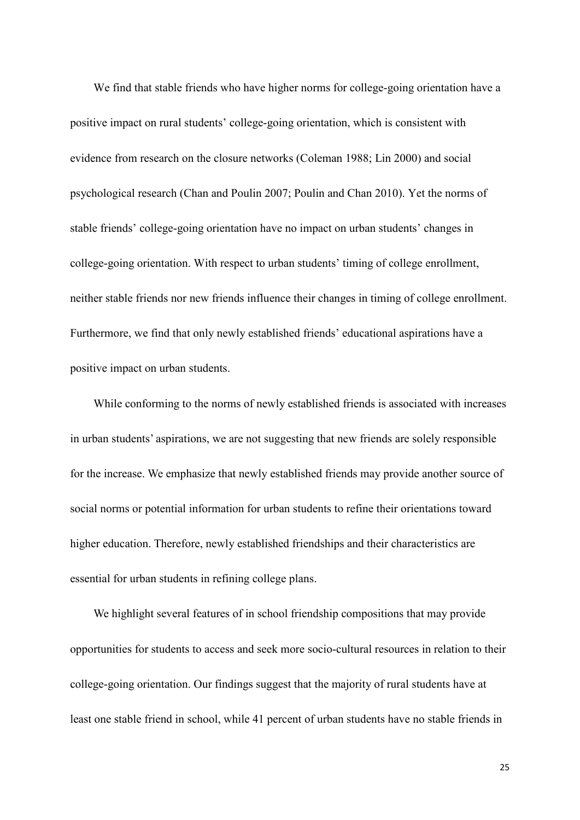We find that stable friends who have higher norms for college-going orientation have a positive impact on rural students' college-going orientation, which is consistent with evidence from research on the closure networks (Coleman 1988; Lin 2000) and social psychological research (Chan and Poulin 2007; Poulin and Chan 2010). Yet the norms of stable friends' college-going orientation have no impact on urban students' changes in college-going orientation. With respect to urban students' timing of college enrollment, neither stable friends nor new friends influence their changes in timing of college enrollment. Furthermore, we find that only newly established friends' educational aspirations have a positive impact on urban students.

While conforming to the norms of newly established friends is associated with increases in urban students' aspirations, we are not suggesting that new friends are solely responsible for the increase. We emphasize that newly established friends may provide another source of social norms or potential information for urban students to refine their orientations toward higher education. Therefore, newly established friendships and their characteristics are essential for urban students in refining college plans.

We highlight several features of in school friendship compositions that may provide opportunities for students to access and seek more socio-cultural resources in relation to their college-going orientation. Our findings suggest that the majority of rural students have at least one stable friend in school, while 41 percent of urban students have no stable friends in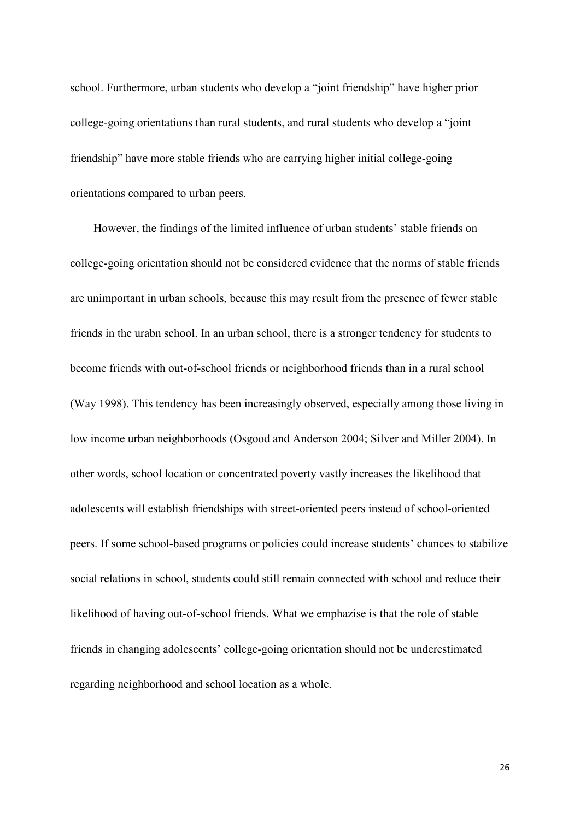school. Furthermore, urban students who develop a "joint friendship" have higher prior college-going orientations than rural students, and rural students who develop a "joint friendship" have more stable friends who are carrying higher initial college-going orientations compared to urban peers.

However, the findings of the limited influence of urban students' stable friends on college-going orientation should not be considered evidence that the norms of stable friends are unimportant in urban schools, because this may result from the presence of fewer stable friends in the urabn school. In an urban school, there is a stronger tendency for students to become friends with out-of-school friends or neighborhood friends than in a rural school (Way 1998). This tendency has been increasingly observed, especially among those living in low income urban neighborhoods (Osgood and Anderson 2004; Silver and Miller 2004). In other words, school location or concentrated poverty vastly increases the likelihood that adolescents will establish friendships with street-oriented peers instead of school-oriented peers. If some school-based programs or policies could increase students' chances to stabilize social relations in school, students could still remain connected with school and reduce their likelihood of having out-of-school friends. What we emphazise is that the role of stable friends in changing adolescents' college-going orientation should not be underestimated regarding neighborhood and school location as a whole.

26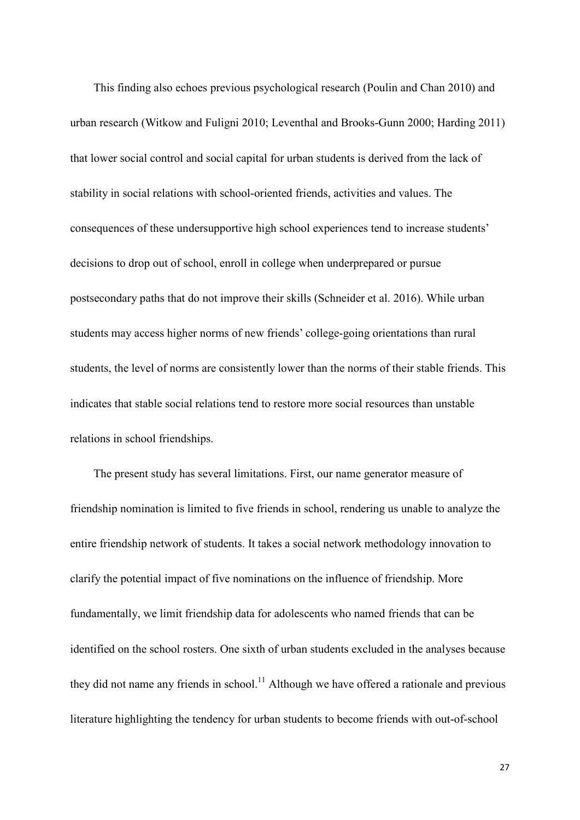This finding also echoes previous psychological research (Poulin and Chan 2010) and urban research (Witkow and Fuligni 2010; Leventhal and Brooks-Gunn 2000; Harding 2011) that lower social control and social capital for urban students is derived from the lack of stability in social relations with school-oriented friends, activities and values. The consequences of these undersupportive high school experiences tend to increase students' decisions to drop out of school, enroll in college when underprepared or pursue postsecondary paths that do not improve their skills (Schneider et al. 2016). While urban students may access higher norms of new friends' college-going orientations than rural students, the level of norms are consistently lower than the norms of their stable friends. This indicates that stable social relations tend to restore more social resources than unstable relations in school friendships.

The present study has several limitations. First, our name generator measure of friendship nomination is limited to five friends in school, rendering us unable to analyze the entire friendship network of students. It takes a social network methodology innovation to clarify the potential impact of five nominations on the influence of friendship. More fundamentally, we limit friendship data for adolescents who named friends that can be identified on the school rosters. One sixth of urban students excluded in the analyses because they did not name any friends in school.<sup>11</sup> Although we have offered a rationale and previous literature highlighting the tendency for urban students to become friends with out-of-school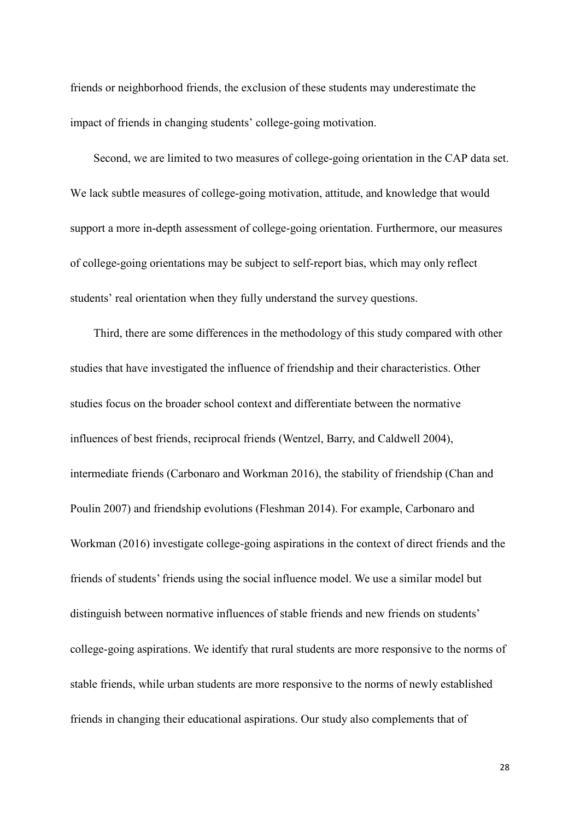friends or neighborhood friends, the exclusion of these students may underestimate the impact of friends in changing students' college-going motivation.

Second, we are limited to two measures of college-going orientation in the CAP data set. We lack subtle measures of college-going motivation, attitude, and knowledge that would support a more in-depth assessment of college-going orientation. Furthermore, our measures of college-going orientations may be subject to self-report bias, which may only reflect students' real orientation when they fully understand the survey questions.

Third, there are some differences in the methodology of this study compared with other studies that have investigated the influence of friendship and their characteristics. Other studies focus on the broader school context and differentiate between the normative influences of best friends, reciprocal friends (Wentzel, Barry, and Caldwell 2004), intermediate friends (Carbonaro and Workman 2016), the stability of friendship (Chan and Poulin 2007) and friendship evolutions (Fleshman 2014). For example, Carbonaro and Workman (2016) investigate college-going aspirations in the context of direct friends and the friends of students' friends using the social influence model. We use a similar model but distinguish between normative influences of stable friends and new friends on students' college-going aspirations. We identify that rural students are more responsive to the norms of stable friends, while urban students are more responsive to the norms of newly established friends in changing their educational aspirations. Our study also complements that of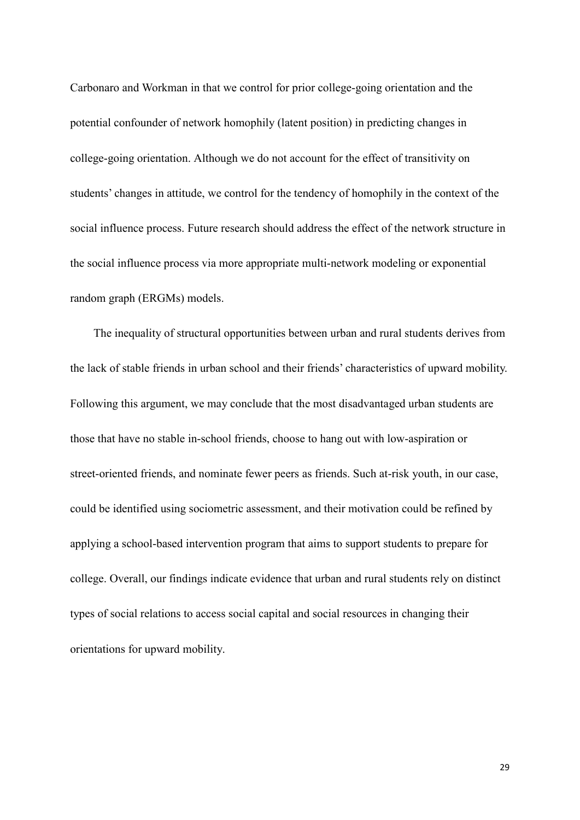Carbonaro and Workman in that we control for prior college-going orientation and the potential confounder of network homophily (latent position) in predicting changes in college-going orientation. Although we do not account for the effect of transitivity on students' changes in attitude, we control for the tendency of homophily in the context of the social influence process. Future research should address the effect of the network structure in the social influence process via more appropriate multi-network modeling or exponential random graph (ERGMs) models.

The inequality of structural opportunities between urban and rural students derives from the lack of stable friends in urban school and their friends' characteristics of upward mobility. Following this argument, we may conclude that the most disadvantaged urban students are those that have no stable in-school friends, choose to hang out with low-aspiration or street-oriented friends, and nominate fewer peers as friends. Such at-risk youth, in our case, could be identified using sociometric assessment, and their motivation could be refined by applying a school-based intervention program that aims to support students to prepare for college. Overall, our findings indicate evidence that urban and rural students rely on distinct types of social relations to access social capital and social resources in changing their orientations for upward mobility.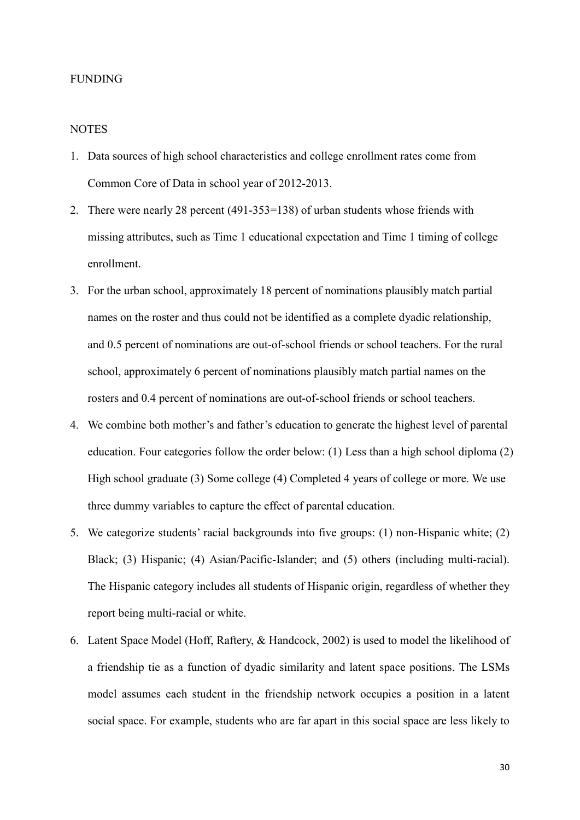#### FUNDING

#### **NOTES**

- 1. Data sources of high school characteristics and college enrollment rates come from Common Core of Data in school year of 2012-2013.
- 2. There were nearly 28 percent (491-353=138) of urban students whose friends with missing attributes, such as Time 1 educational expectation and Time 1 timing of college enrollment.
- 3. For the urban school, approximately 18 percent of nominations plausibly match partial names on the roster and thus could not be identified as a complete dyadic relationship, and 0.5 percent of nominations are out-of-school friends or school teachers. For the rural school, approximately 6 percent of nominations plausibly match partial names on the rosters and 0.4 percent of nominations are out-of-school friends or school teachers.
- 4. We combine both mother's and father's education to generate the highest level of parental education. Four categories follow the order below: (1) Less than a high school diploma (2) High school graduate (3) Some college (4) Completed 4 years of college or more. We use three dummy variables to capture the effect of parental education.
- 5. We categorize students' racial backgrounds into five groups: (1) non-Hispanic white; (2) Black; (3) Hispanic; (4) Asian/Pacific-Islander; and (5) others (including multi-racial). The Hispanic category includes all students of Hispanic origin, regardless of whether they report being multi-racial or white.
- 6. Latent Space Model (Hoff, Raftery, & Handcock, 2002) is used to model the likelihood of a friendship tie as a function of dyadic similarity and latent space positions. The LSMs model assumes each student in the friendship network occupies a position in a latent social space. For example, students who are far apart in this social space are less likely to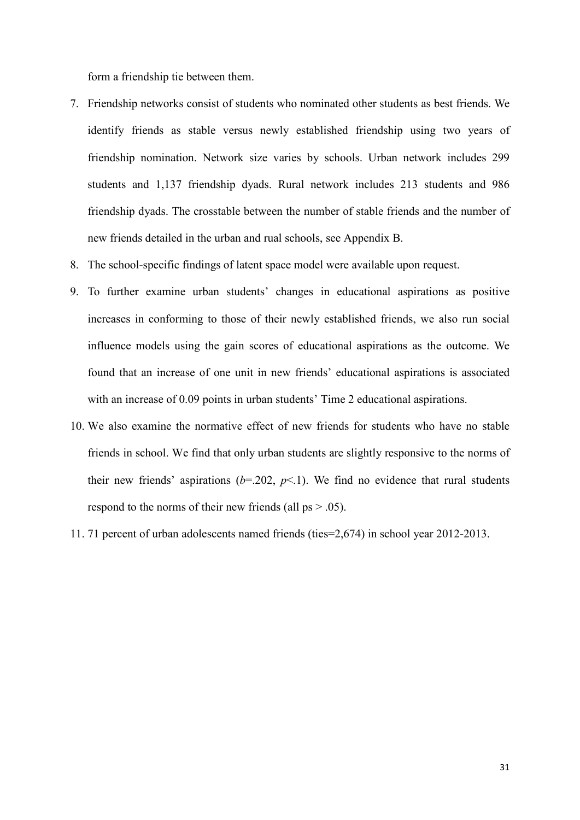form a friendship tie between them.

- 7. Friendship networks consist of students who nominated other students as best friends. We identify friends as stable versus newly established friendship using two years of friendship nomination. Network size varies by schools. Urban network includes 299 students and 1,137 friendship dyads. Rural network includes 213 students and 986 friendship dyads. The crosstable between the number of stable friends and the number of new friends detailed in the urban and rual schools, see Appendix B.
- 8. The school-specific findings of latent space model were available upon request.
- 9. To further examine urban students' changes in educational aspirations as positive increases in conforming to those of their newly established friends, we also run social influence models using the gain scores of educational aspirations as the outcome. We found that an increase of one unit in new friends' educational aspirations is associated with an increase of 0.09 points in urban students' Time 2 educational aspirations.
- 10. We also examine the normative effect of new friends for students who have no stable friends in school. We find that only urban students are slightly responsive to the norms of their new friends' aspirations  $(b=202, p<1)$ . We find no evidence that rural students respond to the norms of their new friends (all ps > .05).
- 11. 71 percent of urban adolescents named friends (ties=2,674) in school year 2012-2013.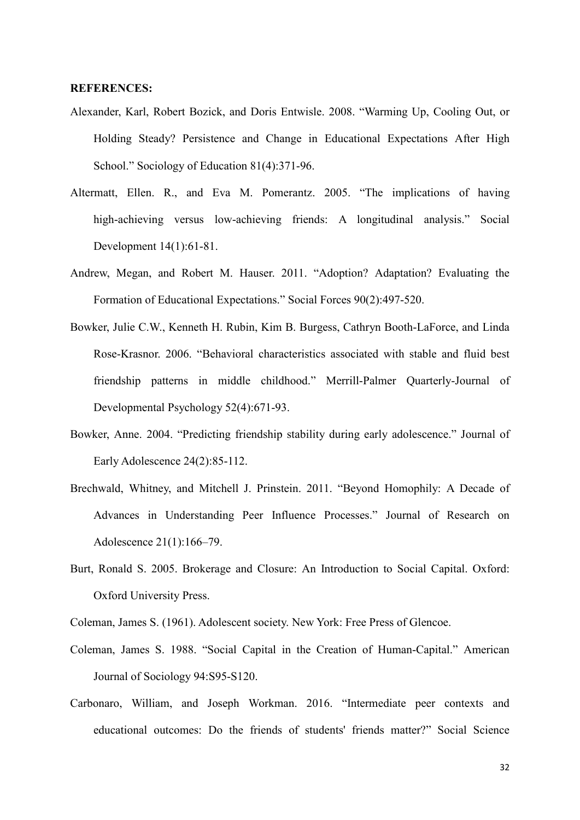#### **REFERENCES:**

- Alexander, Karl, Robert Bozick, and Doris Entwisle. 2008. "Warming Up, Cooling Out, or Holding Steady? Persistence and Change in Educational Expectations After High School." Sociology of Education 81(4):371-96.
- Altermatt, Ellen. R., and Eva M. Pomerantz. 2005. "The implications of having high-achieving versus low-achieving friends: A longitudinal analysis." Social Development 14(1):61-81.
- Andrew, Megan, and Robert M. Hauser. 2011. "Adoption? Adaptation? Evaluating the Formation of Educational Expectations." Social Forces 90(2):497-520.
- Bowker, Julie C.W., Kenneth H. Rubin, Kim B. Burgess, Cathryn Booth-LaForce, and Linda Rose-Krasnor. 2006. "Behavioral characteristics associated with stable and fluid best friendship patterns in middle childhood." Merrill-Palmer Quarterly-Journal of Developmental Psychology 52(4):671-93.
- Bowker, Anne. 2004. "Predicting friendship stability during early adolescence." Journal of Early Adolescence 24(2):85-112.
- Brechwald, Whitney, and Mitchell J. Prinstein. 2011. "Beyond Homophily: A Decade of Advances in Understanding Peer Influence Processes." Journal of Research on Adolescence 21(1):166–79.
- Burt, Ronald S. 2005. Brokerage and Closure: An Introduction to Social Capital. Oxford: Oxford University Press.
- Coleman, James S. (1961). Adolescent society. New York: Free Press of Glencoe.
- Coleman, James S. 1988. "Social Capital in the Creation of Human-Capital." American Journal of Sociology 94:S95-S120.
- Carbonaro, William, and Joseph Workman. 2016. "Intermediate peer contexts and educational outcomes: Do the friends of students' friends matter?" Social Science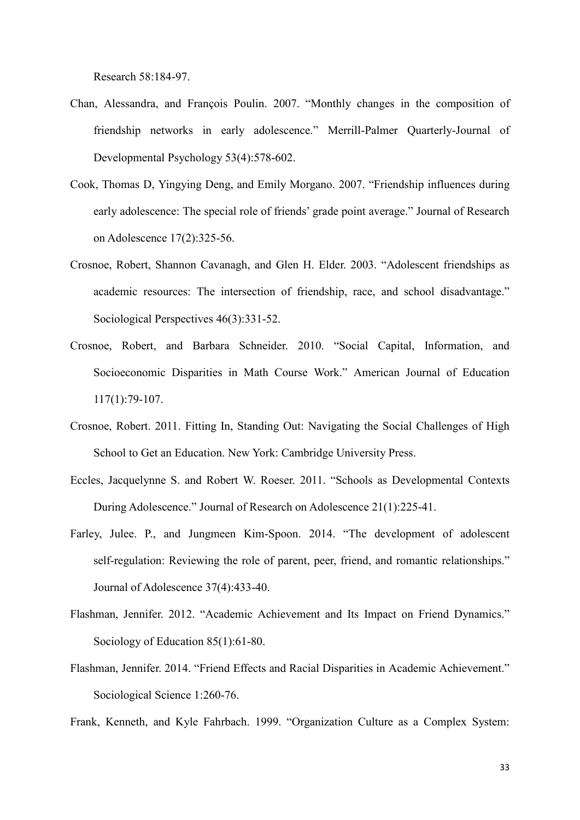Research 58:184-97.

- Chan, Alessandra, and François Poulin. 2007. "Monthly changes in the composition of friendship networks in early adolescence." Merrill-Palmer Quarterly-Journal of Developmental Psychology 53(4):578-602.
- Cook, Thomas D, Yingying Deng, and Emily Morgano. 2007. "Friendship influences during early adolescence: The special role of friends' grade point average." Journal of Research on Adolescence 17(2):325-56.
- Crosnoe, Robert, Shannon Cavanagh, and Glen H. Elder. 2003. "Adolescent friendships as academic resources: The intersection of friendship, race, and school disadvantage." Sociological Perspectives 46(3):331-52.
- Crosnoe, Robert, and Barbara Schneider. 2010. "Social Capital, Information, and Socioeconomic Disparities in Math Course Work." American Journal of Education 117(1):79-107.
- Crosnoe, Robert. 2011. Fitting In, Standing Out: Navigating the Social Challenges of High School to Get an Education. New York: Cambridge University Press.
- Eccles, Jacquelynne S. and Robert W. Roeser. 2011. "Schools as Developmental Contexts During Adolescence." Journal of Research on Adolescence 21(1):225-41.
- Farley, Julee. P., and Jungmeen Kim-Spoon. 2014. "The development of adolescent self-regulation: Reviewing the role of parent, peer, friend, and romantic relationships." Journal of Adolescence 37(4):433-40.
- Flashman, Jennifer. 2012. "Academic Achievement and Its Impact on Friend Dynamics." Sociology of Education 85(1):61-80.
- Flashman, Jennifer. 2014. "Friend Effects and Racial Disparities in Academic Achievement." Sociological Science 1:260-76.

Frank, Kenneth, and Kyle Fahrbach. 1999. "Organization Culture as a Complex System: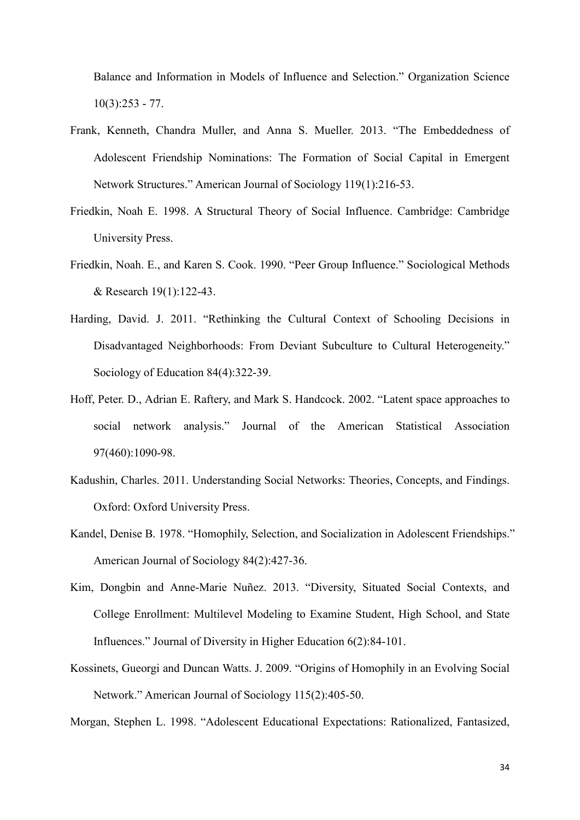Balance and Information in Models of Influence and Selection." Organization Science  $10(3):253 - 77.$ 

- Frank, Kenneth, Chandra Muller, and Anna S. Mueller. 2013. "The Embeddedness of Adolescent Friendship Nominations: The Formation of Social Capital in Emergent Network Structures." American Journal of Sociology 119(1):216-53.
- Friedkin, Noah E. 1998. A Structural Theory of Social Influence. Cambridge: Cambridge University Press.
- Friedkin, Noah. E., and Karen S. Cook. 1990. "Peer Group Influence." Sociological Methods & Research 19(1):122-43.
- Harding, David. J. 2011. "Rethinking the Cultural Context of Schooling Decisions in Disadvantaged Neighborhoods: From Deviant Subculture to Cultural Heterogeneity." Sociology of Education 84(4):322-39.
- Hoff, Peter. D., Adrian E. Raftery, and Mark S. Handcock. 2002. "Latent space approaches to social network analysis." Journal of the American Statistical Association 97(460):1090-98.
- Kadushin, Charles. 2011. Understanding Social Networks: Theories, Concepts, and Findings. Oxford: Oxford University Press.
- Kandel, Denise B. 1978. "Homophily, Selection, and Socialization in Adolescent Friendships." American Journal of Sociology 84(2):427-36.
- Kim, Dongbin and Anne-Marie Nuñez. 2013. "Diversity, Situated Social Contexts, and College Enrollment: Multilevel Modeling to Examine Student, High School, and State Influences." Journal of Diversity in Higher Education 6(2):84-101.
- Kossinets, Gueorgi and Duncan Watts. J. 2009. "Origins of Homophily in an Evolving Social Network." American Journal of Sociology 115(2):405-50.

Morgan, Stephen L. 1998. "Adolescent Educational Expectations: Rationalized, Fantasized,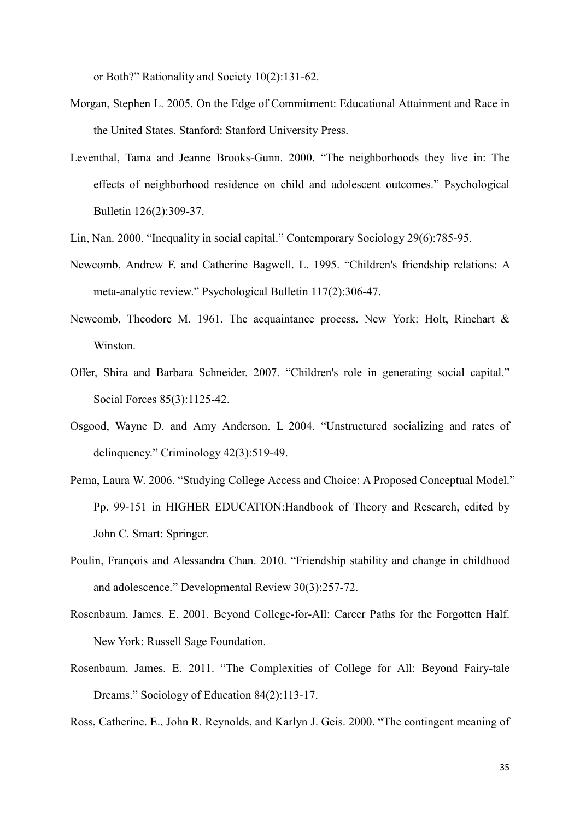or Both?" Rationality and Society 10(2):131-62.

- Morgan, Stephen L. 2005. On the Edge of Commitment: Educational Attainment and Race in the United States. Stanford: Stanford University Press.
- Leventhal, Tama and Jeanne Brooks-Gunn. 2000. "The neighborhoods they live in: The effects of neighborhood residence on child and adolescent outcomes." Psychological Bulletin 126(2):309-37.
- Lin, Nan. 2000. "Inequality in social capital." Contemporary Sociology 29(6):785-95.
- Newcomb, Andrew F. and Catherine Bagwell. L. 1995. "Children's friendship relations: A meta-analytic review." Psychological Bulletin 117(2):306-47.
- Newcomb, Theodore M. 1961. The acquaintance process. New York: Holt, Rinehart & Winston.
- Offer, Shira and Barbara Schneider. 2007. "Children's role in generating social capital." Social Forces 85(3):1125-42.
- Osgood, Wayne D. and Amy Anderson. L 2004. "Unstructured socializing and rates of delinquency." Criminology 42(3):519-49.
- Perna, Laura W. 2006. "Studying College Access and Choice: A Proposed Conceptual Model." Pp. 99-151 in HIGHER EDUCATION:Handbook of Theory and Research, edited by John C. Smart: Springer.
- Poulin, François and Alessandra Chan. 2010. "Friendship stability and change in childhood and adolescence." Developmental Review 30(3):257-72.
- Rosenbaum, James. E. 2001. Beyond College-for-All: Career Paths for the Forgotten Half. New York: Russell Sage Foundation.
- Rosenbaum, James. E. 2011. "The Complexities of College for All: Beyond Fairy-tale Dreams." Sociology of Education 84(2):113-17.

Ross, Catherine. E., John R. Reynolds, and Karlyn J. Geis. 2000. "The contingent meaning of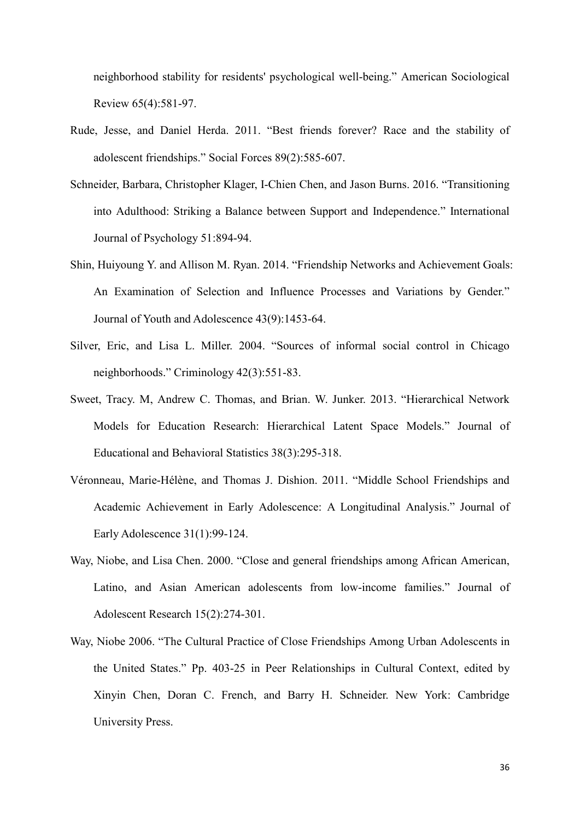neighborhood stability for residents' psychological well-being." American Sociological Review 65(4):581-97.

- Rude, Jesse, and Daniel Herda. 2011. "Best friends forever? Race and the stability of adolescent friendships." Social Forces 89(2):585-607.
- Schneider, Barbara, Christopher Klager, I-Chien Chen, and Jason Burns. 2016. "Transitioning into Adulthood: Striking a Balance between Support and Independence." International Journal of Psychology 51:894-94.
- Shin, Huiyoung Y. and Allison M. Ryan. 2014. "Friendship Networks and Achievement Goals: An Examination of Selection and Influence Processes and Variations by Gender." Journal of Youth and Adolescence 43(9):1453-64.
- Silver, Eric, and Lisa L. Miller. 2004. "Sources of informal social control in Chicago neighborhoods." Criminology 42(3):551-83.
- Sweet, Tracy. M, Andrew C. Thomas, and Brian. W. Junker. 2013. "Hierarchical Network Models for Education Research: Hierarchical Latent Space Models." Journal of Educational and Behavioral Statistics 38(3):295-318.
- Véronneau, Marie-Hélène, and Thomas J. Dishion. 2011. "Middle School Friendships and Academic Achievement in Early Adolescence: A Longitudinal Analysis." Journal of Early Adolescence 31(1):99-124.
- Way, Niobe, and Lisa Chen. 2000. "Close and general friendships among African American, Latino, and Asian American adolescents from low-income families." Journal of Adolescent Research 15(2):274-301.
- Way, Niobe 2006. "The Cultural Practice of Close Friendships Among Urban Adolescents in the United States." Pp. 403-25 in Peer Relationships in Cultural Context, edited by Xinyin Chen, Doran C. French, and Barry H. Schneider. New York: Cambridge University Press.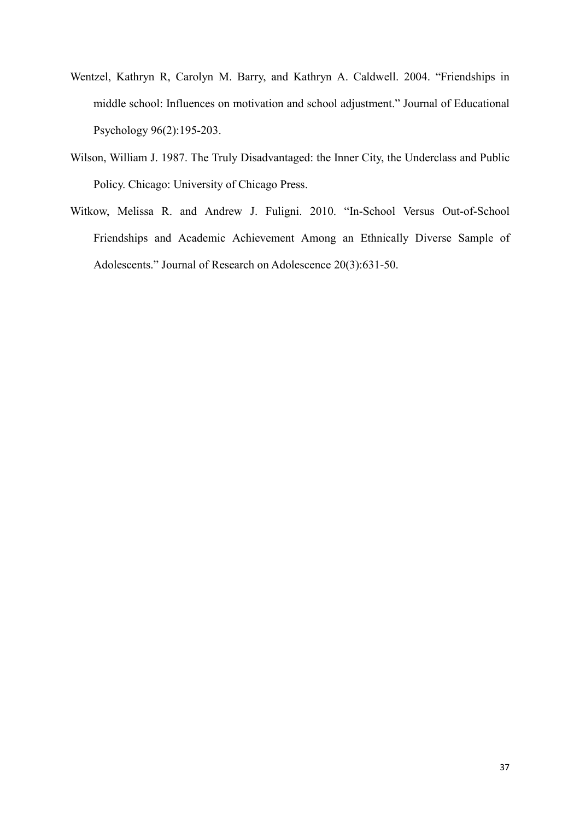- Wentzel, Kathryn R, Carolyn M. Barry, and Kathryn A. Caldwell. 2004. "Friendships in middle school: Influences on motivation and school adjustment." Journal of Educational Psychology 96(2):195-203.
- Wilson, William J. 1987. The Truly Disadvantaged: the Inner City, the Underclass and Public Policy. Chicago: University of Chicago Press.
- Witkow, Melissa R. and Andrew J. Fuligni. 2010. "In-School Versus Out-of-School Friendships and Academic Achievement Among an Ethnically Diverse Sample of Adolescents." Journal of Research on Adolescence 20(3):631-50.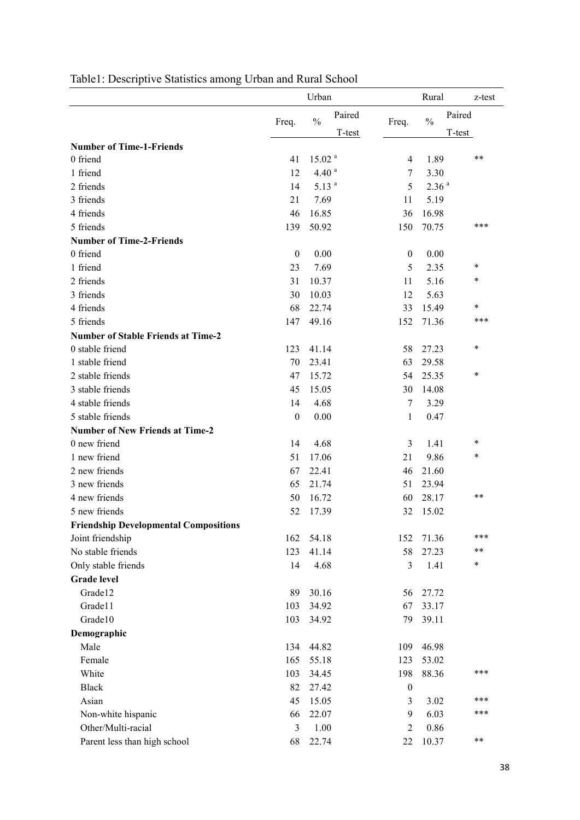|                                              |              | Urban              |                  |                  | Rural             | z-test           |
|----------------------------------------------|--------------|--------------------|------------------|------------------|-------------------|------------------|
|                                              | Freq.        | $\frac{0}{0}$      | Paired<br>T-test | Freq.            | $\frac{0}{0}$     | Paired<br>T-test |
| <b>Number of Time-1-Friends</b>              |              |                    |                  |                  |                   |                  |
| 0 friend                                     | 41           | 15.02 <sup>a</sup> |                  | $\overline{4}$   | 1.89              | $***$            |
| 1 friend                                     | 12           | 4.40 <sup>a</sup>  |                  | 7                | 3.30              |                  |
| 2 friends                                    | 14           | 5.13 <sup>a</sup>  |                  | 5                | 2.36 <sup>a</sup> |                  |
| 3 friends                                    | 21           | 7.69               |                  | 11               | 5.19              |                  |
| 4 friends                                    | 46           | 16.85              |                  | 36               | 16.98             |                  |
| 5 friends                                    | 139          | 50.92              |                  | 150              | 70.75             | ***              |
| <b>Number of Time-2-Friends</b>              |              |                    |                  |                  |                   |                  |
| 0 friend                                     | $\mathbf{0}$ | 0.00               |                  | $\boldsymbol{0}$ | 0.00              |                  |
| 1 friend                                     | 23           | 7.69               |                  | 5                | 2.35              | $\star$          |
| 2 friends                                    | 31           | 10.37              |                  | 11               | 5.16              | $\star$          |
| 3 friends                                    | 30           | 10.03              |                  | 12               | 5.63              |                  |
| 4 friends                                    | 68           | 22.74              |                  | 33               | 15.49             | $\star$          |
| 5 friends                                    | 147          | 49.16              |                  | 152              | 71.36             | ***              |
| <b>Number of Stable Friends at Time-2</b>    |              |                    |                  |                  |                   |                  |
| 0 stable friend                              | 123          | 41.14              |                  | 58               | 27.23             | $\star$          |
| 1 stable friend                              | 70           | 23.41              |                  | 63               | 29.58             |                  |
| 2 stable friends                             | 47           | 15.72              |                  | 54               | 25.35             | $\star$          |
| 3 stable friends                             | 45           | 15.05              |                  | 30               | 14.08             |                  |
| 4 stable friends                             | 14           | 4.68               |                  | 7                | 3.29              |                  |
| 5 stable friends                             | $\mathbf{0}$ | 0.00               |                  | 1                | 0.47              |                  |
| <b>Number of New Friends at Time-2</b>       |              |                    |                  |                  |                   |                  |
| 0 new friend                                 | 14           | 4.68               |                  | 3                | 1.41              | $\star$          |
| 1 new friend                                 | 51           | 17.06              |                  | 21               | 9.86              | $\star$          |
| 2 new friends                                | 67           | 22.41              |                  | 46               | 21.60             |                  |
| 3 new friends                                | 65           | 21.74              |                  | 51               | 23.94             |                  |
| 4 new friends                                | 50           | 16.72              |                  | 60               | 28.17             | $***$            |
| 5 new friends                                | 52           | 17.39              |                  | 32               | 15.02             |                  |
| <b>Friendship Developmental Compositions</b> |              |                    |                  |                  |                   |                  |
| Joint friendship                             | 162          | 54.18              |                  | 152              | 71.36             | ***              |
| No stable friends                            | 123          | 41.14              |                  | 58               | 27.23             | $***$            |
| Only stable friends                          | 14           | 4.68               |                  | 3                | 1.41              | $\ast$           |
| <b>Grade level</b>                           |              |                    |                  |                  |                   |                  |
| Grade12                                      | 89           | 30.16              |                  | 56               | 27.72             |                  |
| Grade11                                      | 103          | 34.92              |                  | 67               | 33.17             |                  |
| Grade10                                      | 103          | 34.92              |                  | 79               | 39.11             |                  |
| Demographic                                  |              |                    |                  |                  |                   |                  |
| Male                                         | 134          | 44.82              |                  | 109              | 46.98             |                  |
| Female                                       | 165          | 55.18              |                  | 123              | 53.02             |                  |
| White                                        | 103          | 34.45              |                  | 198              | 88.36             | ***              |
| <b>Black</b>                                 | 82           | 27.42              |                  | $\boldsymbol{0}$ |                   |                  |
| Asian                                        | 45           | 15.05              |                  | 3                | 3.02              | ***              |
| Non-white hispanic                           | 66           | 22.07              |                  | 9                | 6.03              | ***              |
| Other/Multi-racial                           | 3            | 1.00               |                  | $\overline{2}$   | 0.86              |                  |
| Parent less than high school                 | 68           | 22.74              |                  | 22               | 10.37             | $***$            |

# Table1: Descriptive Statistics among Urban and Rural School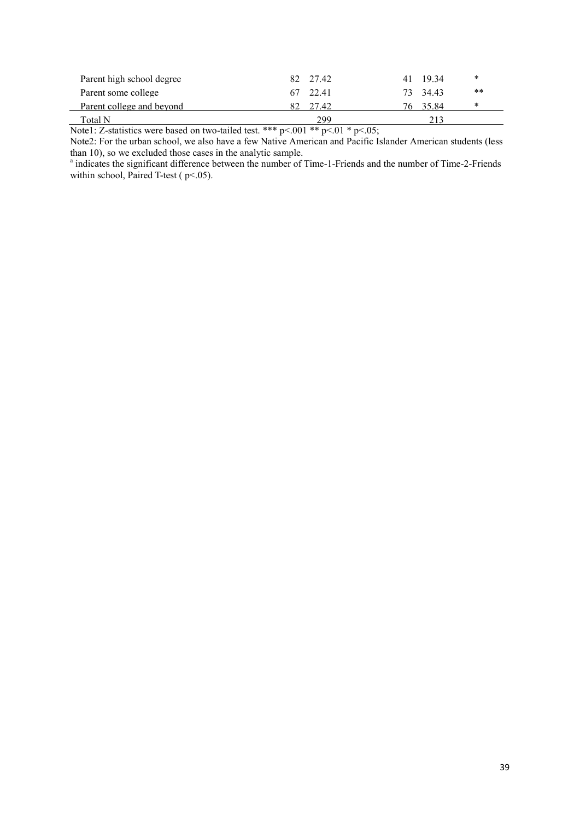| Parent high school degree | 82<br>27.42 | *<br>-1934<br>41  |  |
|---------------------------|-------------|-------------------|--|
| Parent some college       | 67 22.41    | $***$<br>73 34.43 |  |
| Parent college and beyond | 82<br>27.42 | *<br>3584         |  |
| $_{\rm Total~N}$          | 299         |                   |  |

Note1: Z-statistics were based on two-tailed test. \*\*\*  $p<.001$  \*\*  $p<.01$  \*  $p<.05$ ;

Note2: For the urban school, we also have a few Native American and Pacific Islander American students (less than 10), so we excluded those cases in the analytic sample.<br>a indicates the significant difference between the number of Time-1-Friends and the number of Time-2-Friends

within school, Paired T-test ( $p < .05$ ).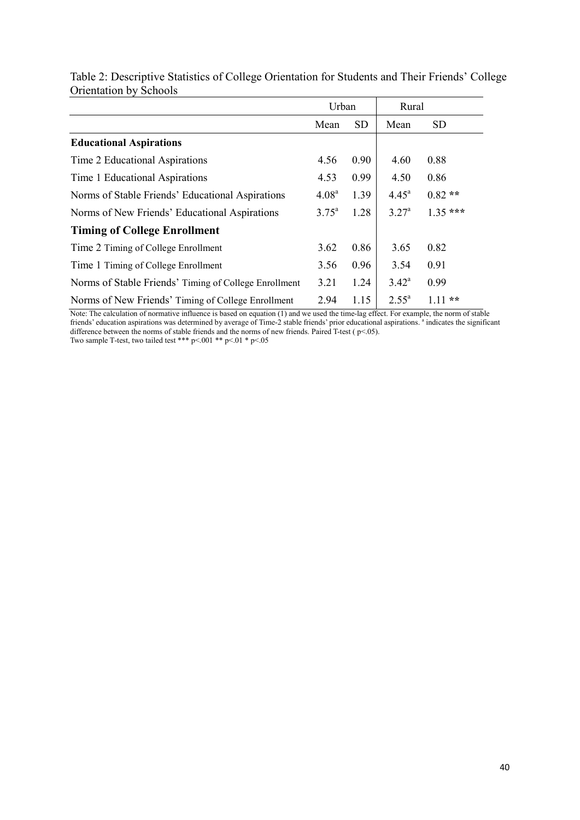|                                                       | Urban             |           | Rural          |           |
|-------------------------------------------------------|-------------------|-----------|----------------|-----------|
|                                                       | Mean              | <b>SD</b> | Mean           | <b>SD</b> |
| <b>Educational Aspirations</b>                        |                   |           |                |           |
| Time 2 Educational Aspirations                        | 4.56              | 0.90      | 4.60           | 0.88      |
| Time 1 Educational Aspirations                        | 4.53              | 0.99      | 4.50           | 0.86      |
| Norms of Stable Friends' Educational Aspirations      | 4.08 <sup>a</sup> | 1.39      | $4.45^{\circ}$ | $0.82**$  |
| Norms of New Friends' Educational Aspirations         | $3.75^{\circ}$    | 1.28      | $3.27^{\circ}$ | $1.35***$ |
| <b>Timing of College Enrollment</b>                   |                   |           |                |           |
| Time 2 Timing of College Enrollment                   | 3.62              | 0.86      | 3.65           | 0.82      |
| Time 1 Timing of College Enrollment                   | 3.56              | 0.96      | 3.54           | 0.91      |
| Norms of Stable Friends' Timing of College Enrollment | 3.21              | 1.24      | $3.42^{\circ}$ | 0.99      |
| Norms of New Friends' Timing of College Enrollment    | 2.94              | 1.15      | $2.55^{\circ}$ | $111**$   |

Table 2: Descriptive Statistics of College Orientation for Students and Their Friends' College Orientation by Schools

Note: The calculation of normative influence is based on equation (1) and we used the time-lag effect. For example, the norm of stable<br>friends' education aspirations was determined by average of Time-2 stable friends' prio difference between the norms of stable friends and the norms of new friends. Paired T-test ( $p<.05$ ).

Two sample T-test, two tailed test \*\*\*  $p<0.01$  \*\*  $p<0.1$  \*  $p<0.5$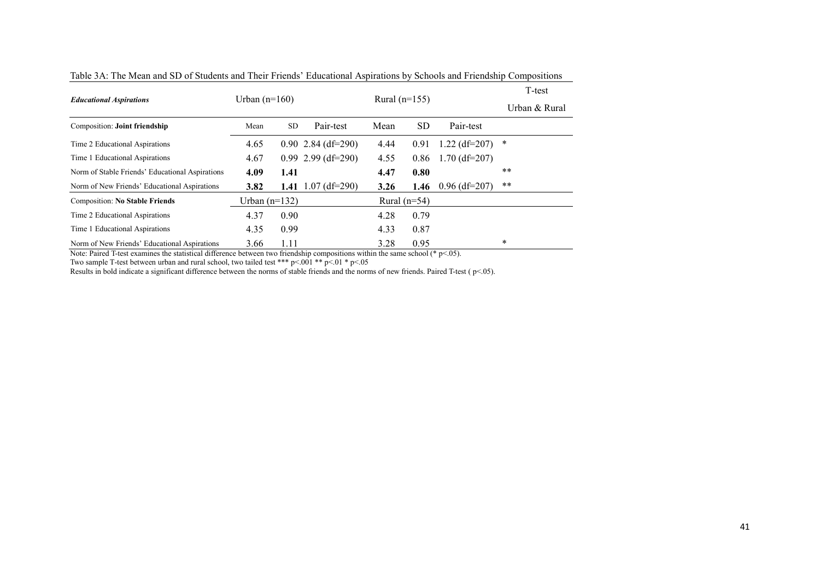| <b>Educational Aspirations</b>                  | Urban $(n=160)$   |           | Rural $(n=155)$               |                |           |                 | T-test        |
|-------------------------------------------------|-------------------|-----------|-------------------------------|----------------|-----------|-----------------|---------------|
|                                                 |                   |           |                               |                |           |                 | Urban & Rural |
| Composition: Joint friendship                   | Mean              | <b>SD</b> | Pair-test                     | Mean           | <b>SD</b> | Pair-test       |               |
| Time 2 Educational Aspirations                  | 4.65              |           | $0.90\;2.84\;(\text{df}=290)$ | 4.44           | 0.91      | $1.22$ (df=207) | $\ast$        |
| Time 1 Educational Aspirations                  | 4.67              |           | $0.99$ 2.99 (df=290)          | 4.55           | 0.86      | $1.70$ (df=207) |               |
| Norm of Stable Friends' Educational Aspirations | 4.09              | 1.41      |                               | 4.47           | 0.80      |                 | $***$         |
| Norm of New Friends' Educational Aspirations    | 3.82              | 1.41      | $1.07$ (df=290)               | 3.26           | 1.46      | $0.96$ (df=207) | $***$         |
| <b>Composition: No Stable Friends</b>           | Urban (n= $132$ ) |           |                               | Rural $(n=54)$ |           |                 |               |
| Time 2 Educational Aspirations                  | 4.37              | 0.90      |                               | 4.28           | 0.79      |                 |               |
| Time 1 Educational Aspirations                  | 4.35              | 0.99      |                               | 4.33           | 0.87      |                 |               |
| Norm of New Friends' Educational Aspirations    | 3.66              | 1.11      |                               | 3.28           | 0.95      |                 | $\ast$        |

Table 3A: The Mean and SD of Students and Their Friends' Educational Aspirations by Schools and Friendship Compositions

Note: Paired T-test examines the statistical difference between two friendship compositions within the same school (\* p<.05).

Two sample T-test between urban and rural school, two tailed test \*\*\*  $p<.001$  \*\*  $p<.01$  \*  $p<.05$ 

Results in bold indicate a significant difference between the norms of stable friends and the norms of new friends. Paired T-test ( p<.05).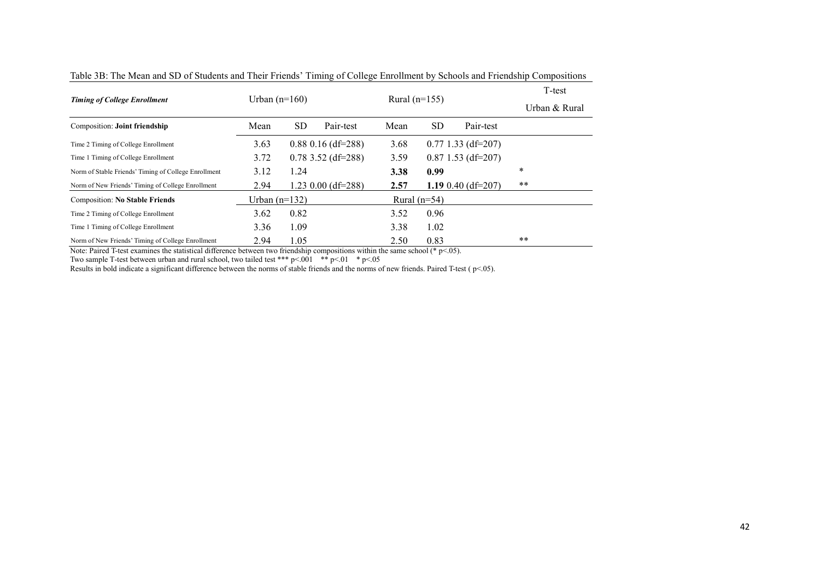| <b>Timing of College Enrollment</b>                  | Urban $(n=160)$ |           |                      | Rural $(n=155)$ |                        | T-test        |
|------------------------------------------------------|-----------------|-----------|----------------------|-----------------|------------------------|---------------|
|                                                      |                 |           |                      |                 |                        | Urban & Rural |
| <b>Composition: Joint friendship</b>                 | Mean            | <b>SD</b> | Pair-test            | Mean            | <b>SD</b><br>Pair-test |               |
| Time 2 Timing of College Enrollment                  | 3.63            |           | $0.88$ 0.16 (df=288) | 3.68            | $0.77$ 1.33 (df=207)   |               |
| Time 1 Timing of College Enrollment                  | 3.72            |           | $0.78$ 3.52 (df=288) | 3.59            | $0.87$ 1.53 (df=207)   |               |
| Norm of Stable Friends' Timing of College Enrollment | 3.12            | 1.24      |                      | 3.38            | 0.99                   | *             |
| Norm of New Friends' Timing of College Enrollment    | 2.94            |           | $1.23$ 0.00 (df=288) | 2.57            | 1.19 $0.40$ (df=207)   | $***$         |
| <b>Composition: No Stable Friends</b>                | Urban $(n=132)$ |           |                      | Rural $(n=54)$  |                        |               |
| Time 2 Timing of College Enrollment                  | 3.62            | 0.82      |                      | 3.52            | 0.96                   |               |
| Time 1 Timing of College Enrollment                  | 3.36            | 1.09      |                      | 3.38            | 1.02                   |               |
| Norm of New Friends' Timing of College Enrollment    | 2.94            | 1.05      |                      | 2.50            | 0.83                   | $***$         |

Table 3B: The Mean and SD of Students and Their Friends' Timing of College Enrollment by Schools and Friendship Compositions

Note: Paired T-test examines the statistical difference between two friendship compositions within the same school (\* p<.05).

Two sample T-test between urban and rural school, two tailed test \*\*\*  $p<0.01$  \*  $p<0.01$  \*  $p<0.5$ 

Results in bold indicate a significant difference between the norms of stable friends and the norms of new friends. Paired T-test ( $p$ <.05).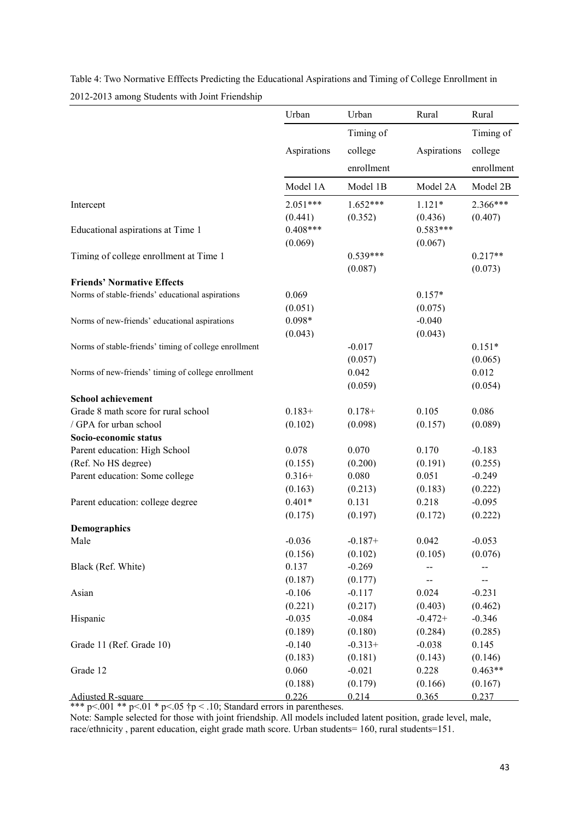|                                                       | Urban       | Urban      | Rural       | Rural      |
|-------------------------------------------------------|-------------|------------|-------------|------------|
|                                                       |             |            |             |            |
|                                                       |             | Timing of  |             | Timing of  |
|                                                       | Aspirations | college    | Aspirations | college    |
|                                                       |             | enrollment |             | enrollment |
|                                                       | Model 1A    | Model 1B   | Model 2A    | Model 2B   |
| Intercept                                             | $2.051***$  | $1.652***$ | $1.121*$    | 2.366***   |
|                                                       | (0.441)     | (0.352)    | (0.436)     | (0.407)    |
| Educational aspirations at Time 1                     | $0.408***$  |            | $0.583***$  |            |
|                                                       | (0.069)     |            | (0.067)     |            |
| Timing of college enrollment at Time 1                |             | $0.539***$ |             | $0.217**$  |
|                                                       |             | (0.087)    |             | (0.073)    |
| <b>Friends' Normative Effects</b>                     |             |            |             |            |
| Norms of stable-friends' educational aspirations      | 0.069       |            | $0.157*$    |            |
|                                                       | (0.051)     |            | (0.075)     |            |
| Norms of new-friends' educational aspirations         | $0.098*$    |            | $-0.040$    |            |
|                                                       | (0.043)     |            | (0.043)     |            |
| Norms of stable-friends' timing of college enrollment |             | $-0.017$   |             | $0.151*$   |
|                                                       |             | (0.057)    |             | (0.065)    |
| Norms of new-friends' timing of college enrollment    |             | 0.042      |             | 0.012      |
|                                                       |             | (0.059)    |             | (0.054)    |
| <b>School achievement</b>                             |             |            |             |            |
| Grade 8 math score for rural school                   | $0.183+$    | $0.178 +$  | 0.105       | 0.086      |
| / GPA for urban school                                | (0.102)     | (0.098)    | (0.157)     | (0.089)    |
| Socio-economic status                                 |             |            |             |            |
| Parent education: High School                         | 0.078       | 0.070      | 0.170       | $-0.183$   |
| (Ref. No HS degree)                                   | (0.155)     | (0.200)    | (0.191)     | (0.255)    |
| Parent education: Some college                        | $0.316+$    | 0.080      | 0.051       | $-0.249$   |
|                                                       | (0.163)     | (0.213)    | (0.183)     | (0.222)    |
| Parent education: college degree                      | $0.401*$    | 0.131      | 0.218       | $-0.095$   |
|                                                       | (0.175)     | (0.197)    | (0.172)     | (0.222)    |
| Demographics                                          |             |            |             |            |
| Male                                                  | $-0.036$    | $-0.187+$  | 0.042       | $-0.053$   |
|                                                       | (0.156)     | (0.102)    | (0.105)     | (0.076)    |
| Black (Ref. White)                                    | 0.137       | $-0.269$   |             |            |
|                                                       | (0.187)     | (0.177)    |             |            |
| Asian                                                 | $-0.106$    | $-0.117$   | 0.024       | $-0.231$   |
|                                                       | (0.221)     | (0.217)    | (0.403)     | (0.462)    |
| Hispanic                                              | $-0.035$    | $-0.084$   | $-0.472+$   | $-0.346$   |
|                                                       | (0.189)     | (0.180)    | (0.284)     | (0.285)    |
| Grade 11 (Ref. Grade 10)                              | $-0.140$    | $-0.313+$  | $-0.038$    | 0.145      |
|                                                       | (0.183)     | (0.181)    | (0.143)     | (0.146)    |
| Grade 12                                              | 0.060       | $-0.021$   | 0.228       | $0.463**$  |
|                                                       | (0.188)     | (0.179)    | (0.166)     | (0.167)    |
| <b>Adjusted R-square</b>                              | 0.226       | 0.214      | 0.365       | 0.237      |

Table 4: Two Normative Efffects Predicting the Educational Aspirations and Timing of College Enrollment in 2012-2013 among Students with Joint Friendship

\*\*\* p<.001 \*\* p<.01 \* p<.05  $\uparrow p$  <.10; Standard errors in parentheses.

Note: Sample selected for those with joint friendship. All models included latent position, grade level, male, race/ethnicity , parent education, eight grade math score. Urban students= 160, rural students=151.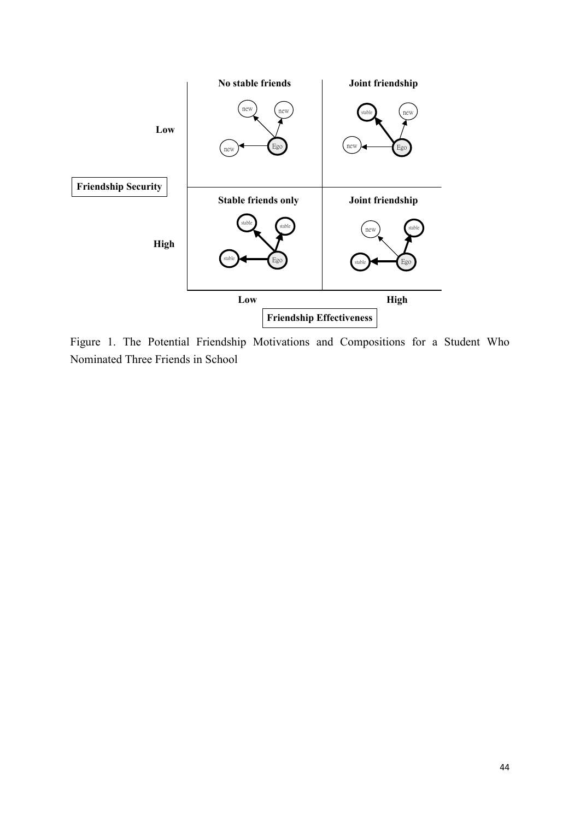

Figure 1. The Potential Friendship Motivations and Compositions for a Student Who Nominated Three Friends in School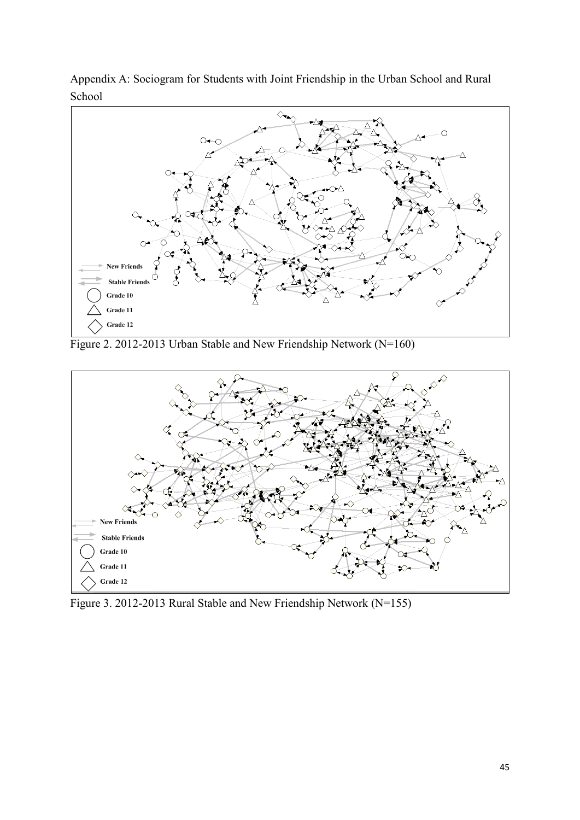

Appendix A: Sociogram for Students with Joint Friendship in the Urban School and Rural School

Figure 2. 2012-2013 Urban Stable and New Friendship Network (N=160)



Figure 3. 2012-2013 Rural Stable and New Friendship Network (N=155)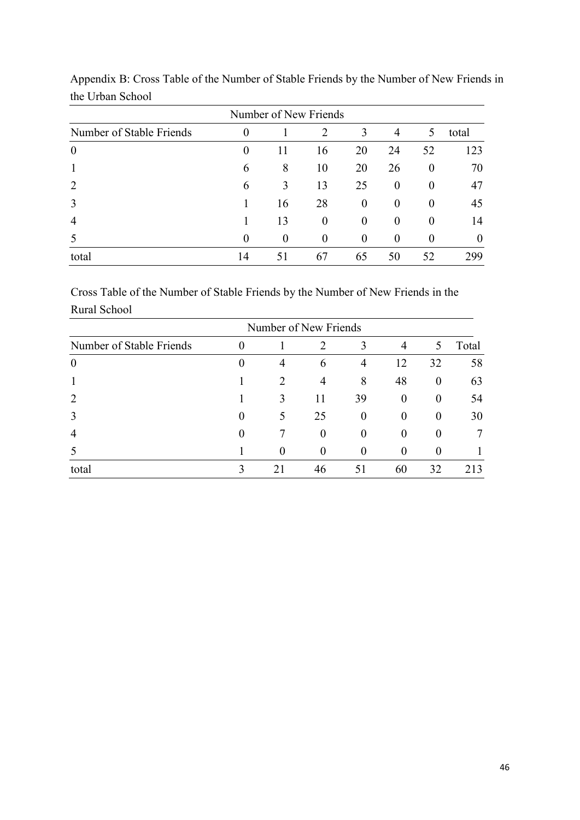| Number of New Friends    |          |          |                |          |                |          |          |
|--------------------------|----------|----------|----------------|----------|----------------|----------|----------|
| Number of Stable Friends | $\theta$ |          | 2              | 3        | $\overline{4}$ | 5        | total    |
| $\overline{0}$           | $\theta$ | 11       | 16             | 20       | 24             | 52       | 123      |
|                          | 6        | 8        | 10             | 20       | 26             | $\theta$ | 70       |
| 2                        | 6        | 3        | 13             | 25       | $\Omega$       | $\theta$ | 47       |
| 3                        |          | 16       | 28             | $\Omega$ | $\theta$       | $\theta$ | 45       |
| 4                        |          | 13       | $\overline{0}$ | $\Omega$ | $\theta$       | $\theta$ | 14       |
|                          | $\Omega$ | $\theta$ | $\theta$       | $\theta$ | $\theta$       |          | $\theta$ |
| total                    | 14       | 51       | 67             | 65       | 50             | 52       | 299      |

Appendix B: Cross Table of the Number of Stable Friends by the Number of New Friends in the Urban School

Cross Table of the Number of Stable Friends by the Number of New Friends in the Rural School

|                          | Number of New Friends |                       |                |                |                  |                  |       |
|--------------------------|-----------------------|-----------------------|----------------|----------------|------------------|------------------|-------|
| Number of Stable Friends | O                     |                       | 2              | 3              | $\overline{4}$   | 5                | Total |
| $\theta$                 |                       | 4                     | 6              | $\overline{4}$ | 12               | 32               | 58    |
| 1                        |                       | $\mathcal{D}_{\cdot}$ | 4              | 8              | 48               | $\boldsymbol{0}$ | 63    |
| $\overline{2}$           |                       | 3                     | 11             | 39             | $\boldsymbol{0}$ | $\overline{0}$   | 54    |
| 3                        | 0                     | 5                     | 25             | $\theta$       | $\theta$         | $\boldsymbol{0}$ | 30    |
| $\overline{4}$           |                       |                       | $\overline{0}$ | $\theta$       | $\theta$         | $\theta$         |       |
|                          |                       | $\theta$              | $\Omega$       | $\theta$       | $\theta$         | $\theta$         |       |
| total                    |                       | 21                    | 46             | 51             | 60               | 32               | 213   |